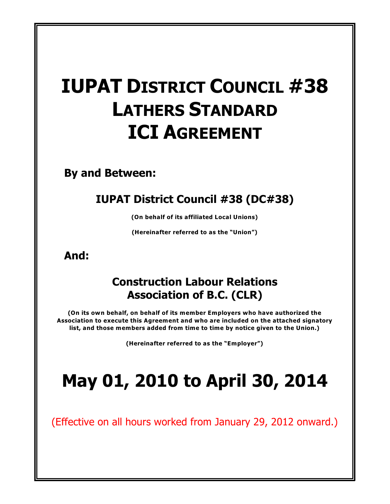# **IUPAT DISTRICT COUNCIL #38 LATHERS STANDARD ICI AGREEMENT**

**By and Between:**

## **IUPAT District Council #38 (DC#38)**

**(On behalf of its affiliated Local Unions)**

**(Hereinafter referred to as the "Union")**

**And:**

## **Construction Labour Relations Association of B.C. (CLR)**

**(On its own behalf, on behalf of its member Employers who have authorized the Association to execute this Agreement and who are included on the attached signatory list, and those members added from time to time by notice given to the Union.)**

**(Hereinafter referred to as the "Employer")**

# **May 01, 2010 to April 30, 2014**

(Effective on all hours worked from January 29, 2012 onward.)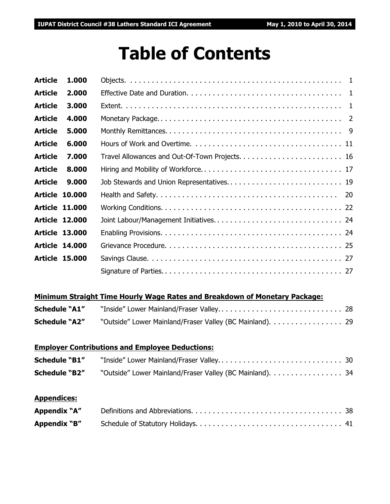## **Table of Contents**

| <b>Article</b> | 1.000                 |  |
|----------------|-----------------------|--|
| <b>Article</b> | 2.000                 |  |
| <b>Article</b> | 3.000                 |  |
| <b>Article</b> | 4.000                 |  |
| <b>Article</b> | 5.000                 |  |
| <b>Article</b> | 6.000                 |  |
| <b>Article</b> | 7.000                 |  |
| <b>Article</b> | 8.000                 |  |
| <b>Article</b> | 9.000                 |  |
|                | <b>Article 10.000</b> |  |
|                | <b>Article 11.000</b> |  |
|                | <b>Article 12.000</b> |  |
|                | <b>Article 13.000</b> |  |
|                | <b>Article 14,000</b> |  |
|                | <b>Article 15,000</b> |  |
|                |                       |  |
|                |                       |  |

#### **Minimum Straight Time Hourly Wage Rates and Breakdown of Monetary Package:**

| <b>Schedule "A1"</b> |                                                          |  |
|----------------------|----------------------------------------------------------|--|
| <b>Schedule "A2"</b> | "Outside" Lower Mainland/Fraser Valley (BC Mainland). 29 |  |

### **Employer Contributions and Employee Deductions:**

| <b>Schedule "B1"</b> |                                                          |  |
|----------------------|----------------------------------------------------------|--|
| <b>Schedule "B2"</b> | "Outside" Lower Mainland/Fraser Valley (BC Mainland). 34 |  |

#### **Appendices:**

| Appendix "A" |  |
|--------------|--|
| Appendix "B" |  |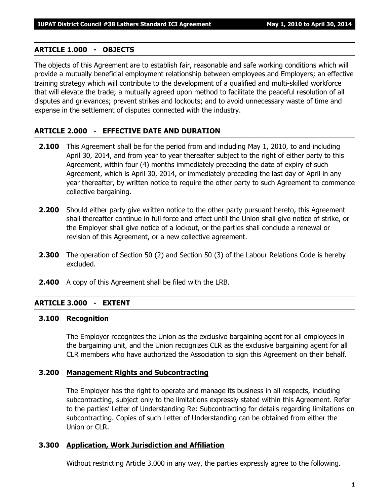#### **ARTICLE 1.000 - OBJECTS**

The objects of this Agreement are to establish fair, reasonable and safe working conditions which will provide a mutually beneficial employment relationship between employees and Employers; an effective training strategy which will contribute to the development of a qualified and multi-skilled workforce that will elevate the trade; a mutually agreed upon method to facilitate the peaceful resolution of all disputes and grievances; prevent strikes and lockouts; and to avoid unnecessary waste of time and expense in the settlement of disputes connected with the industry.

#### **ARTICLE 2.000 - EFFECTIVE DATE AND DURATION**

- **2.100** This Agreement shall be for the period from and including May 1, 2010, to and including April 30, 2014, and from year to year thereafter subject to the right of either party to this Agreement, within four (4) months immediately preceding the date of expiry of such Agreement, which is April 30, 2014, or immediately preceding the last day of April in any year thereafter, by written notice to require the other party to such Agreement to commence collective bargaining.
- **2.200** Should either party give written notice to the other party pursuant hereto, this Agreement shall thereafter continue in full force and effect until the Union shall give notice of strike, or the Employer shall give notice of a lockout, or the parties shall conclude a renewal or revision of this Agreement, or a new collective agreement.
- **2.300** The operation of Section 50 (2) and Section 50 (3) of the *Labour Relations Code* is hereby excluded.
- **2.400** A copy of this Agreement shall be filed with the LRB.

#### **ARTICLE 3.000 - EXTENT**

#### **3.100 Recognition**

The Employer recognizes the Union as the exclusive bargaining agent for all employees in the bargaining unit, and the Union recognizes CLR as the exclusive bargaining agent for all CLR members who have authorized the Association to sign this Agreement on their behalf.

#### **3.200 Management Rights and Subcontracting**

The Employer has the right to operate and manage its business in all respects, including subcontracting, subject only to the limitations expressly stated within this Agreement. Refer to the parties' Letter of Understanding Re: Subcontracting for details regarding limitations on subcontracting. Copies of such Letter of Understanding can be obtained from either the Union or CLR.

#### **3.300 Application, Work Jurisdiction and Affiliation**

Without restricting Article 3.000 in any way, the parties expressly agree to the following.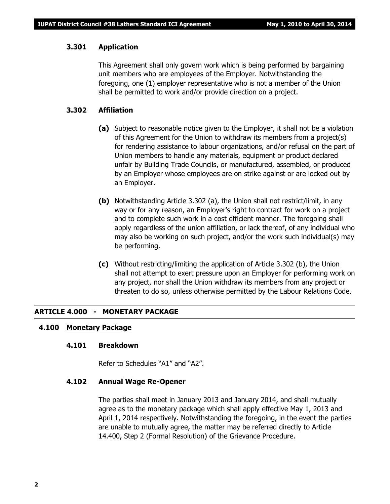#### **3.301 Application**

This Agreement shall only govern work which is being performed by bargaining unit members who are employees of the Employer. Notwithstanding the foregoing, one (1) employer representative who is not a member of the Union shall be permitted to work and/or provide direction on a project.

#### **3.302 Affiliation**

- **(a)** Subject to reasonable notice given to the Employer, it shall not be a violation of this Agreement for the Union to withdraw its members from a project(s) for rendering assistance to labour organizations, and/or refusal on the part of Union members to handle any materials, equipment or product declared unfair by Building Trade Councils, or manufactured, assembled, or produced by an Employer whose employees are on strike against or are locked out by an Employer.
- **(b)** Notwithstanding Article 3.302 (a), the Union shall not restrict/limit, in any way or for any reason, an Employer's right to contract for work on a project and to complete such work in a cost efficient manner. The foregoing shall apply regardless of the union affiliation, or lack thereof, of any individual who may also be working on such project, and/or the work such individual(s) may be performing.
- **(c)** Without restricting/limiting the application of Article 3.302 (b), the Union shall not attempt to exert pressure upon an Employer for performing work on any project, nor shall the Union withdraw its members from any project or threaten to do so, unless otherwise permitted by the *Labour Relations Code*.

#### **ARTICLE 4.000 - MONETARY PACKAGE**

#### **4.100 Monetary Package**

#### **4.101 Breakdown**

Refer to Schedules "A1" and "A2".

#### **4.102 Annual Wage Re-Opener**

The parties shall meet in January 2013 and January 2014, and shall mutually agree as to the monetary package which shall apply effective May 1, 2013 and April 1, 2014 respectively. Notwithstanding the foregoing, in the event the parties are unable to mutually agree, the matter may be referred directly to Article 14.400, Step 2 (Formal Resolution) of the Grievance Procedure.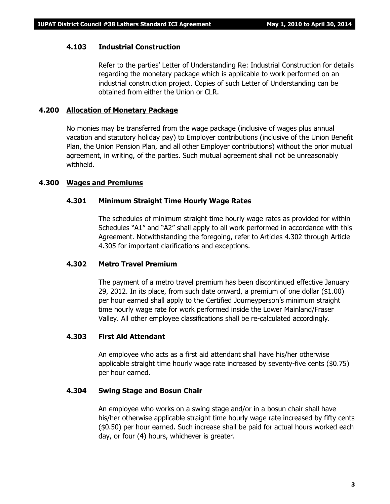#### **4.103 Industrial Construction**

Refer to the parties' Letter of Understanding Re: Industrial Construction for details regarding the monetary package which is applicable to work performed on an industrial construction project. Copies of such Letter of Understanding can be obtained from either the Union or CLR.

#### **4.200 Allocation of Monetary Package**

No monies may be transferred from the wage package (inclusive of wages plus annual vacation and statutory holiday pay) to Employer contributions (inclusive of the Union Benefit Plan, the Union Pension Plan, and all other Employer contributions) without the prior mutual agreement, in writing, of the parties. Such mutual agreement shall not be unreasonably withheld.

#### **4.300 Wages and Premiums**

#### **4.301 Minimum Straight Time Hourly Wage Rates**

The schedules of minimum straight time hourly wage rates as provided for within Schedules "A1" and "A2" shall apply to all work performed in accordance with this Agreement. Notwithstanding the foregoing, refer to Articles 4.302 through Article 4.305 for important clarifications and exceptions.

#### **4.302 Metro Travel Premium**

The payment of a metro travel premium has been discontinued effective January 29, 2012. In its place, from such date onward, a premium of one dollar (\$1.00) per hour earned shall apply to the Certified Journeyperson's minimum straight time hourly wage rate for work performed inside the Lower Mainland/Fraser Valley. All other employee classifications shall be re-calculated accordingly.

#### **4.303 First Aid Attendant**

An employee who acts as a first aid attendant shall have his/her otherwise applicable straight time hourly wage rate increased by seventy-five cents (\$0.75) per hour earned.

#### **4.304 Swing Stage and Bosun Chair**

An employee who works on a swing stage and/or in a bosun chair shall have his/her otherwise applicable straight time hourly wage rate increased by fifty cents (\$0.50) per hour earned. Such increase shall be paid for actual hours worked each day, or four (4) hours, whichever is greater.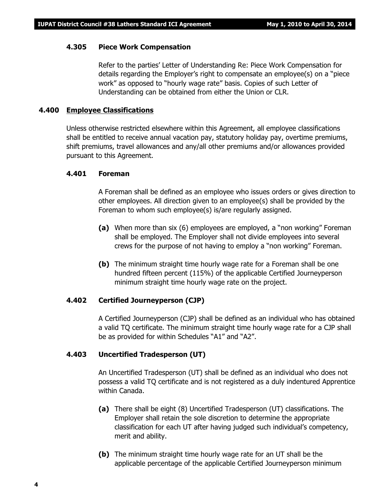#### **4.305 Piece Work Compensation**

Refer to the parties' Letter of Understanding Re: Piece Work Compensation for details regarding the Employer's right to compensate an employee(s) on a "piece work" as opposed to "hourly wage rate" basis. Copies of such Letter of Understanding can be obtained from either the Union or CLR.

#### **4.400 Employee Classifications**

Unless otherwise restricted elsewhere within this Agreement, all employee classifications shall be entitled to receive annual vacation pay, statutory holiday pay, overtime premiums, shift premiums, travel allowances and any/all other premiums and/or allowances provided pursuant to this Agreement.

#### **4.401 Foreman**

A Foreman shall be defined as an employee who issues orders or gives direction to other employees. All direction given to an employee(s) shall be provided by the Foreman to whom such employee(s) is/are regularly assigned.

- **(a)** When more than six (6) employees are employed, a "non working" Foreman shall be employed. The Employer shall not divide employees into several crews for the purpose of not having to employ a "non working" Foreman.
- **(b)** The minimum straight time hourly wage rate for a Foreman shall be one hundred fifteen percent (115%) of the applicable Certified Journeyperson minimum straight time hourly wage rate on the project.

#### **4.402 Certified Journeyperson (CJP)**

A Certified Journeyperson (CJP) shall be defined as an individual who has obtained a valid TQ certificate. The minimum straight time hourly wage rate for a CJP shall be as provided for within Schedules "A1" and "A2".

#### **4.403 Uncertified Tradesperson (UT)**

An Uncertified Tradesperson (UT) shall be defined as an individual who does not possess a valid TQ certificate and is not registered as a duly indentured Apprentice within Canada.

- **(a)** There shall be eight (8) Uncertified Tradesperson (UT) classifications. The Employer shall retain the sole discretion to determine the appropriate classification for each UT after having judged such individual's competency, merit and ability.
- **(b)** The minimum straight time hourly wage rate for an UT shall be the applicable percentage of the applicable Certified Journeyperson minimum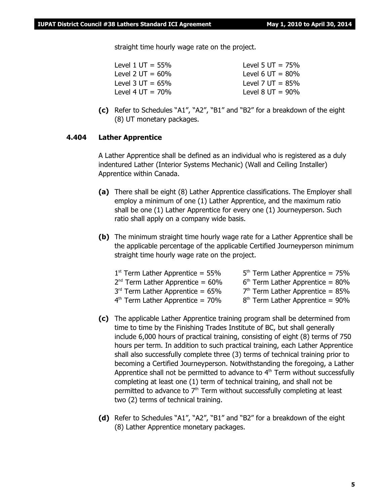straight time hourly wage rate on the project.

- Level  $1 \text{ UT} = 55\%$  Level  $5 \text{ UT} = 75\%$ Level 2  $UT = 60\%$  Level 6  $UT = 80\%$ Level  $3 \text{ UT} = 65\%$  Level  $7 \text{ UT} = 85\%$ Level 4 UT =  $70\%$  Level 8 UT =  $90\%$
- **(c)** Refer to Schedules "A1", "A2", "B1" and "B2" for a breakdown of the eight (8) UT monetary packages.

#### **4.404 Lather Apprentice**

A Lather Apprentice shall be defined as an individual who is registered as a duly indentured Lather (Interior Systems Mechanic) (Wall and Ceiling Installer) Apprentice within Canada.

- **(a)** There shall be eight (8) Lather Apprentice classifications. The Employer shall employ a minimum of one (1) Lather Apprentice, and the maximum ratio shall be one (1) Lather Apprentice for every one (1) Journeyperson. Such ratio shall apply on a company wide basis.
- **(b)** The minimum straight time hourly wage rate for a Lather Apprentice shall be the applicable percentage of the applicable Certified Journeyperson minimum straight time hourly wage rate on the project.

| $1st$ Term Lather Apprentice = 55%    | $5th$ Term Lather Apprentice = 75% |
|---------------------------------------|------------------------------------|
| $2^{nd}$ Term Lather Apprentice = 60% | $6th$ Term Lather Apprentice = 80% |
| $3rd$ Term Lather Apprentice = 65%    | $7th$ Term Lather Apprentice = 85% |
| $4th$ Term Lather Apprentice = 70%    | $8th$ Term Lather Apprentice = 90% |

- **(c)** The applicable Lather Apprentice training program shall be determined from time to time by the Finishing Trades Institute of BC, but shall generally include 6,000 hours of practical training, consisting of eight (8) terms of 750 hours per term. In addition to such practical training, each Lather Apprentice shall also successfully complete three (3) terms of technical training prior to becoming a Certified Journeyperson. Notwithstanding the foregoing, a Lather Apprentice shall not be permitted to advance to  $4<sup>th</sup>$  Term without successfully completing at least one (1) term of technical training, and shall not be permitted to advance to  $7<sup>th</sup>$  Term without successfully completing at least two (2) terms of technical training.
- **(d)** Refer to Schedules "A1", "A2", "B1" and "B2" for a breakdown of the eight (8) Lather Apprentice monetary packages.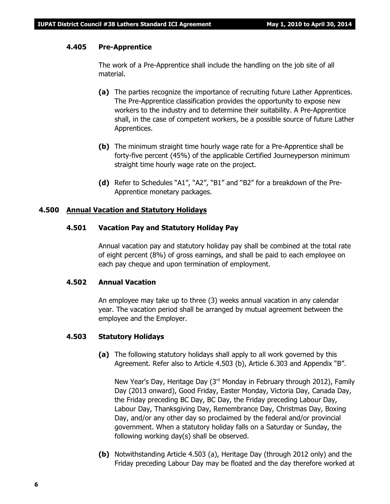#### **4.405 Pre-Apprentice**

The work of a Pre-Apprentice shall include the handling on the job site of all material.

- **(a)** The parties recognize the importance of recruiting future Lather Apprentices. The Pre-Apprentice classification provides the opportunity to expose new workers to the industry and to determine their suitability. A Pre-Apprentice shall, in the case of competent workers, be a possible source of future Lather Apprentices.
- **(b)** The minimum straight time hourly wage rate for a Pre-Apprentice shall be forty-five percent (45%) of the applicable Certified Journeyperson minimum straight time hourly wage rate on the project.
- **(d)** Refer to Schedules "A1", "A2", "B1" and "B2" for a breakdown of the Pre-Apprentice monetary packages.

#### **4.500 Annual Vacation and Statutory Holidays**

#### **4.501 Vacation Pay and Statutory Holiday Pay**

Annual vacation pay and statutory holiday pay shall be combined at the total rate of eight percent (8%) of gross earnings, and shall be paid to each employee on each pay cheque and upon termination of employment.

#### **4.502 Annual Vacation**

An employee may take up to three (3) weeks annual vacation in any calendar year. The vacation period shall be arranged by mutual agreement between the employee and the Employer.

#### **4.503 Statutory Holidays**

**(a)** The following statutory holidays shall apply to all work governed by this Agreement. Refer also to Article 4.503 (b), Article 6.303 and Appendix "B".

New Year's Day, Heritage Day  $(3<sup>rd</sup>$  Monday in February through 2012), Family Day (2013 onward), Good Friday, Easter Monday, Victoria Day, Canada Day, the Friday preceding BC Day, BC Day, the Friday preceding Labour Day, Labour Day, Thanksgiving Day, Remembrance Day, Christmas Day, Boxing Day, and/or any other day so proclaimed by the federal and/or provincial government. When a statutory holiday falls on a Saturday or Sunday, the following working day(s) shall be observed.

**(b)** Notwithstanding Article 4.503 (a), Heritage Day (through 2012 only) and the Friday preceding Labour Day may be floated and the day therefore worked at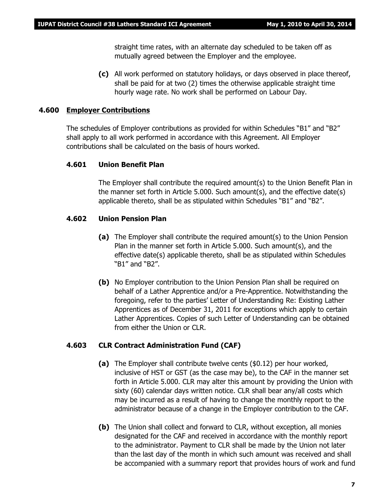straight time rates, with an alternate day scheduled to be taken off as mutually agreed between the Employer and the employee.

**(c)** All work performed on statutory holidays, or days observed in place thereof, shall be paid for at two (2) times the otherwise applicable straight time hourly wage rate. No work shall be performed on Labour Day.

#### **4.600 Employer Contributions**

The schedules of Employer contributions as provided for within Schedules "B1" and "B2" shall apply to all work performed in accordance with this Agreement. All Employer contributions shall be calculated on the basis of hours worked.

#### **4.601 Union Benefit Plan**

The Employer shall contribute the required amount(s) to the Union Benefit Plan in the manner set forth in Article 5.000. Such amount(s), and the effective date(s) applicable thereto, shall be as stipulated within Schedules "B1" and "B2".

#### **4.602 Union Pension Plan**

- **(a)** The Employer shall contribute the required amount(s) to the Union Pension Plan in the manner set forth in Article 5.000. Such amount(s), and the effective date(s) applicable thereto, shall be as stipulated within Schedules "B1" and "B2".
- **(b)** No Employer contribution to the Union Pension Plan shall be required on behalf of a Lather Apprentice and/or a Pre-Apprentice. Notwithstanding the foregoing, refer to the parties' Letter of Understanding Re: Existing Lather Apprentices as of December 31, 2011 for exceptions which apply to certain Lather Apprentices. Copies of such Letter of Understanding can be obtained from either the Union or CLR.

#### **4.603 CLR Contract Administration Fund (CAF)**

- **(a)** The Employer shall contribute twelve cents (\$0.12) per hour worked, inclusive of HST or GST (as the case may be), to the CAF in the manner set forth in Article 5.000. CLR may alter this amount by providing the Union with sixty (60) calendar days written notice. CLR shall bear any/all costs which may be incurred as a result of having to change the monthly report to the administrator because of a change in the Employer contribution to the CAF.
- **(b)** The Union shall collect and forward to CLR, without exception, all monies designated for the CAF and received in accordance with the monthly report to the administrator. Payment to CLR shall be made by the Union not later than the last day of the month in which such amount was received and shall be accompanied with a summary report that provides hours of work and fund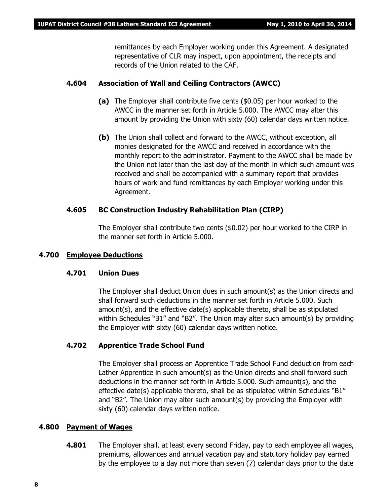remittances by each Employer working under this Agreement. A designated representative of CLR may inspect, upon appointment, the receipts and records of the Union related to the CAF.

#### **4.604 Association of Wall and Ceiling Contractors (AWCC)**

- **(a)** The Employer shall contribute five cents (\$0.05) per hour worked to the AWCC in the manner set forth in Article 5.000. The AWCC may alter this amount by providing the Union with sixty (60) calendar days written notice.
- **(b)** The Union shall collect and forward to the AWCC, without exception, all monies designated for the AWCC and received in accordance with the monthly report to the administrator. Payment to the AWCC shall be made by the Union not later than the last day of the month in which such amount was received and shall be accompanied with a summary report that provides hours of work and fund remittances by each Employer working under this Agreement.

#### **4.605 BC Construction Industry Rehabilitation Plan (CIRP)**

The Employer shall contribute two cents (\$0.02) per hour worked to the CIRP in the manner set forth in Article 5.000.

#### **4.700 Employee Deductions**

#### **4.701 Union Dues**

The Employer shall deduct Union dues in such amount(s) as the Union directs and shall forward such deductions in the manner set forth in Article 5.000. Such amount(s), and the effective date(s) applicable thereto, shall be as stipulated within Schedules "B1" and "B2". The Union may alter such amount(s) by providing the Employer with sixty (60) calendar days written notice.

#### **4.702 Apprentice Trade School Fund**

The Employer shall process an Apprentice Trade School Fund deduction from each Lather Apprentice in such amount(s) as the Union directs and shall forward such deductions in the manner set forth in Article 5.000. Such amount(s), and the effective date(s) applicable thereto, shall be as stipulated within Schedules "B1" and "B2". The Union may alter such amount(s) by providing the Employer with sixty (60) calendar days written notice.

#### **4.800 Payment of Wages**

**4.801** The Employer shall, at least every second Friday, pay to each employee all wages, premiums, allowances and annual vacation pay and statutory holiday pay earned by the employee to a day not more than seven (7) calendar days prior to the date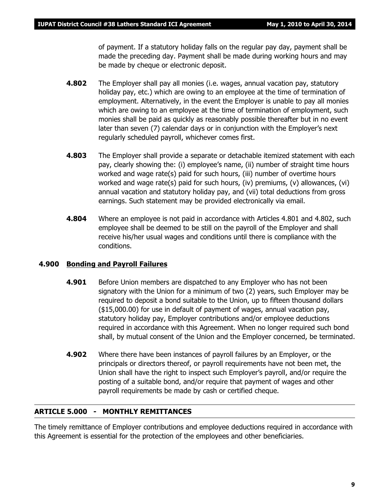of payment. If a statutory holiday falls on the regular pay day, payment shall be made the preceding day. Payment shall be made during working hours and may be made by cheque or electronic deposit.

- **4.802** The Employer shall pay all monies (i.e. wages, annual vacation pay, statutory holiday pay, etc.) which are owing to an employee at the time of termination of employment. Alternatively, in the event the Employer is unable to pay all monies which are owing to an employee at the time of termination of employment, such monies shall be paid as quickly as reasonably possible thereafter but in no event later than seven (7) calendar days or in conjunction with the Employer's next regularly scheduled payroll, whichever comes first.
- **4.803** The Employer shall provide a separate or detachable itemized statement with each pay, clearly showing the: (i) employee's name, (ii) number of straight time hours worked and wage rate(s) paid for such hours, (iii) number of overtime hours worked and wage rate(s) paid for such hours, (iv) premiums, (v) allowances, (vi) annual vacation and statutory holiday pay, and (vii) total deductions from gross earnings. Such statement may be provided electronically via email.
- **4.804** Where an employee is not paid in accordance with Articles 4.801 and 4.802, such employee shall be deemed to be still on the payroll of the Employer and shall receive his/her usual wages and conditions until there is compliance with the conditions.

#### **4.900 Bonding and Payroll Failures**

- **4.901** Before Union members are dispatched to any Employer who has not been signatory with the Union for a minimum of two (2) years, such Employer may be required to deposit a bond suitable to the Union, up to fifteen thousand dollars (\$15,000.00) for use in default of payment of wages, annual vacation pay, statutory holiday pay, Employer contributions and/or employee deductions required in accordance with this Agreement. When no longer required such bond shall, by mutual consent of the Union and the Employer concerned, be terminated.
- **4.902** Where there have been instances of payroll failures by an Employer, or the principals or directors thereof, or payroll requirements have not been met, the Union shall have the right to inspect such Employer's payroll, and/or require the posting of a suitable bond, and/or require that payment of wages and other payroll requirements be made by cash or certified cheque.

#### **ARTICLE 5.000 - MONTHLY REMITTANCES**

The timely remittance of Employer contributions and employee deductions required in accordance with this Agreement is essential for the protection of the employees and other beneficiaries.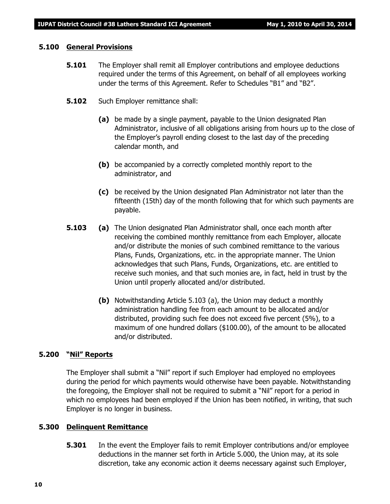#### **5.100 General Provisions**

- **5.101** The Employer shall remit all Employer contributions and employee deductions required under the terms of this Agreement, on behalf of all employees working under the terms of this Agreement. Refer to Schedules "B1" and "B2".
- **5.102** Such Employer remittance shall:
	- **(a)** be made by a single payment, payable to the Union designated Plan Administrator, inclusive of all obligations arising from hours up to the close of the Employer's payroll ending closest to the last day of the preceding calendar month, and
	- **(b)** be accompanied by a correctly completed monthly report to the administrator, and
	- **(c)** be received by the Union designated Plan Administrator not later than the fifteenth (15th) day of the month following that for which such payments are payable.
- **5.103 (a)** The Union designated Plan Administrator shall, once each month after receiving the combined monthly remittance from each Employer, allocate and/or distribute the monies of such combined remittance to the various Plans, Funds, Organizations, etc. in the appropriate manner. The Union acknowledges that such Plans, Funds, Organizations, etc. are entitled to receive such monies, and that such monies are, in fact, held in trust by the Union until properly allocated and/or distributed.
	- **(b)** Notwithstanding Article 5.103 (a), the Union may deduct a monthly administration handling fee from each amount to be allocated and/or distributed, providing such fee does not exceed five percent (5%), to a maximum of one hundred dollars (\$100.00), of the amount to be allocated and/or distributed.

#### **5.200 "Nil" Reports**

The Employer shall submit a "Nil" report if such Employer had employed no employees during the period for which payments would otherwise have been payable. Notwithstanding the foregoing, the Employer shall not be required to submit a "Nil" report for a period in which no employees had been employed if the Union has been notified, in writing, that such Employer is no longer in business.

#### **5.300 Delinquent Remittance**

**5.301** In the event the Employer fails to remit Employer contributions and/or employee deductions in the manner set forth in Article 5.000, the Union may, at its sole discretion, take any economic action it deems necessary against such Employer,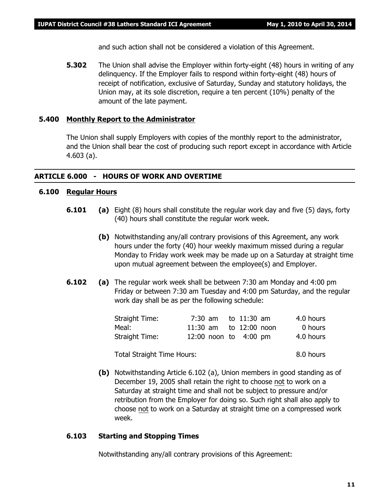and such action shall not be considered a violation of this Agreement.

**5.302** The Union shall advise the Employer within forty-eight (48) hours in writing of any delinquency. If the Employer fails to respond within forty-eight (48) hours of receipt of notification, exclusive of Saturday, Sunday and statutory holidays, the Union may, at its sole discretion, require a ten percent (10%) penalty of the amount of the late payment.

#### **5.400 Monthly Report to the Administrator**

The Union shall supply Employers with copies of the monthly report to the administrator, and the Union shall bear the cost of producing such report except in accordance with Article 4.603 (a).

#### **ARTICLE 6.000 - HOURS OF WORK AND OVERTIME**

#### **6.100 Regular Hours**

- **6.101 (a)** Eight (8) hours shall constitute the regular work day and five (5) days, forty (40) hours shall constitute the regular work week.
	- **(b)** Notwithstanding any/all contrary provisions of this Agreement, any work hours under the forty (40) hour weekly maximum missed during a regular Monday to Friday work week may be made up on a Saturday at straight time upon mutual agreement between the employee(s) and Employer.
- **6.102 (a)** The regular work week shall be between 7:30 am Monday and 4:00 pm Friday or between 7:30 am Tuesday and 4:00 pm Saturday, and the regular work day shall be as per the following schedule:

| Straight Time: |  | 7:30 am to 11:30 am    | 4.0 hours |
|----------------|--|------------------------|-----------|
| Meal:          |  | 11:30 am to 12:00 noon | 0 hours   |
| Straight Time: |  | 12:00 noon to 4:00 pm  | 4.0 hours |

Total Straight Time Hours: 8.0 hours

- 
- **(b)** Notwithstanding Article 6.102 (a), Union members in good standing as of December 19, 2005 shall retain the right to choose not to work on a Saturday at straight time and shall not be subject to pressure and/or retribution from the Employer for doing so. Such right shall also apply to choose not to work on a Saturday at straight time on a compressed work week.

#### **6.103 Starting and Stopping Times**

Notwithstanding any/all contrary provisions of this Agreement: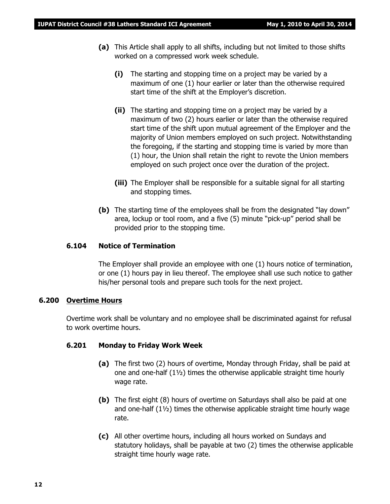- **(a)** This Article shall apply to all shifts, including but not limited to those shifts worked on a compressed work week schedule.
	- **(i)** The starting and stopping time on a project may be varied by a maximum of one (1) hour earlier or later than the otherwise required start time of the shift at the Employer's discretion.
	- **(ii)** The starting and stopping time on a project may be varied by a maximum of two (2) hours earlier or later than the otherwise required start time of the shift upon mutual agreement of the Employer and the majority of Union members employed on such project. Notwithstanding the foregoing, if the starting and stopping time is varied by more than (1) hour, the Union shall retain the right to revote the Union members employed on such project once over the duration of the project.
	- **(iii)** The Employer shall be responsible for a suitable signal for all starting and stopping times.
- **(b)** The starting time of the employees shall be from the designated "lay down" area, lockup or tool room, and a five (5) minute "pick-up" period shall be provided prior to the stopping time.

#### **6.104 Notice of Termination**

The Employer shall provide an employee with one (1) hours notice of termination, or one (1) hours pay in lieu thereof. The employee shall use such notice to gather his/her personal tools and prepare such tools for the next project.

#### **6.200 Overtime Hours**

Overtime work shall be voluntary and no employee shall be discriminated against for refusal to work overtime hours.

#### **6.201 Monday to Friday Work Week**

- **(a)** The first two (2) hours of overtime, Monday through Friday, shall be paid at one and one-half  $(1\frac{1}{2})$  times the otherwise applicable straight time hourly wage rate.
- **(b)** The first eight (8) hours of overtime on Saturdays shall also be paid at one and one-half (1½) times the otherwise applicable straight time hourly wage rate.
- **(c)** All other overtime hours, including all hours worked on Sundays and statutory holidays, shall be payable at two (2) times the otherwise applicable straight time hourly wage rate.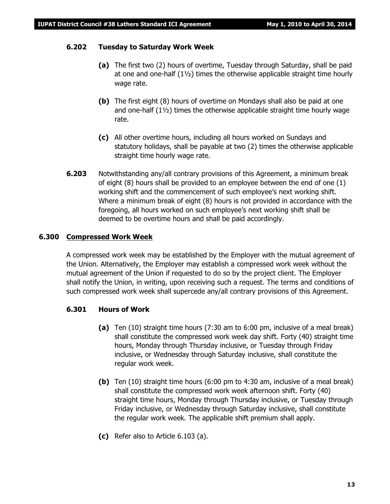#### **6.202 Tuesday to Saturday Work Week**

- **(a)** The first two (2) hours of overtime, Tuesday through Saturday, shall be paid at one and one-half  $(1\frac{1}{2})$  times the otherwise applicable straight time hourly wage rate.
- **(b)** The first eight (8) hours of overtime on Mondays shall also be paid at one and one-half (1½) times the otherwise applicable straight time hourly wage rate.
- **(c)** All other overtime hours, including all hours worked on Sundays and statutory holidays, shall be payable at two (2) times the otherwise applicable straight time hourly wage rate.
- **6.203** Notwithstanding any/all contrary provisions of this Agreement, a minimum break of eight (8) hours shall be provided to an employee between the end of one (1) working shift and the commencement of such employee's next working shift. Where a minimum break of eight (8) hours is not provided in accordance with the foregoing, all hours worked on such employee's next working shift shall be deemed to be overtime hours and shall be paid accordingly.

#### **6.300 Compressed Work Week**

A compressed work week may be established by the Employer with the mutual agreement of the Union. Alternatively, the Employer may establish a compressed work week without the mutual agreement of the Union if requested to do so by the project client. The Employer shall notify the Union, in writing, upon receiving such a request. The terms and conditions of such compressed work week shall supercede any/all contrary provisions of this Agreement.

#### **6.301 Hours of Work**

- **(a)** Ten (10) straight time hours (7:30 am to 6:00 pm, inclusive of a meal break) shall constitute the compressed work week day shift. Forty (40) straight time hours, Monday through Thursday inclusive, or Tuesday through Friday inclusive, or Wednesday through Saturday inclusive, shall constitute the regular work week.
- **(b)** Ten (10) straight time hours (6:00 pm to 4:30 am, inclusive of a meal break) shall constitute the compressed work week afternoon shift. Forty (40) straight time hours, Monday through Thursday inclusive, or Tuesday through Friday inclusive, or Wednesday through Saturday inclusive, shall constitute the regular work week. The applicable shift premium shall apply.
- **(c)** Refer also to Article 6.103 (a).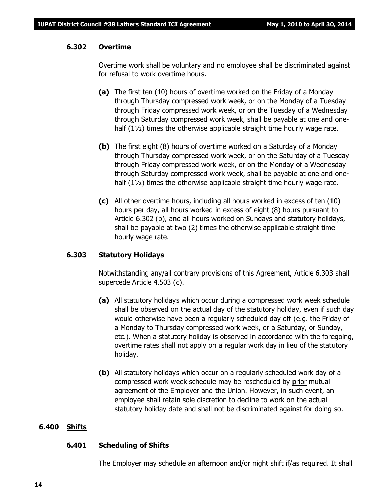#### **6.302 Overtime**

Overtime work shall be voluntary and no employee shall be discriminated against for refusal to work overtime hours.

- **(a)** The first ten (10) hours of overtime worked on the Friday of a Monday through Thursday compressed work week, or on the Monday of a Tuesday through Friday compressed work week, or on the Tuesday of a Wednesday through Saturday compressed work week, shall be payable at one and onehalf  $(1\frac{1}{2})$  times the otherwise applicable straight time hourly wage rate.
- **(b)** The first eight (8) hours of overtime worked on a Saturday of a Monday through Thursday compressed work week, or on the Saturday of a Tuesday through Friday compressed work week, or on the Monday of a Wednesday through Saturday compressed work week, shall be payable at one and onehalf  $(1\frac{1}{2})$  times the otherwise applicable straight time hourly wage rate.
- **(c)** All other overtime hours, including all hours worked in excess of ten (10) hours per day, all hours worked in excess of eight (8) hours pursuant to Article 6.302 (b), and all hours worked on Sundays and statutory holidays, shall be payable at two (2) times the otherwise applicable straight time hourly wage rate.

#### **6.303 Statutory Holidays**

Notwithstanding any/all contrary provisions of this Agreement, Article 6.303 shall supercede Article 4.503 (c).

- **(a)** All statutory holidays which occur during a compressed work week schedule shall be observed on the actual day of the statutory holiday, even if such day would otherwise have been a regularly scheduled day off (e.g. the Friday of a Monday to Thursday compressed work week, or a Saturday, or Sunday, etc.). When a statutory holiday is observed in accordance with the foregoing, overtime rates shall not apply on a regular work day in lieu of the statutory holiday.
- **(b)** All statutory holidays which occur on a regularly scheduled work day of a compressed work week schedule may be rescheduled by prior mutual agreement of the Employer and the Union. However, in such event, an employee shall retain sole discretion to decline to work on the actual statutory holiday date and shall not be discriminated against for doing so.

#### **6.400 Shifts**

#### **6.401 Scheduling of Shifts**

The Employer may schedule an afternoon and/or night shift if/as required. It shall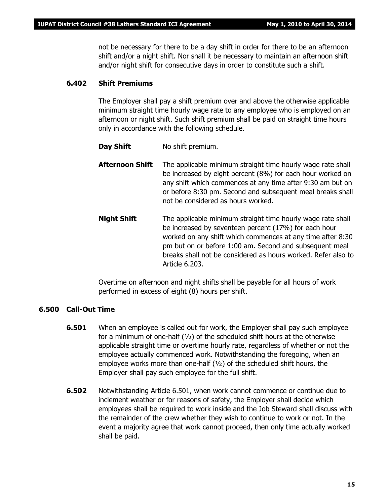not be necessary for there to be a day shift in order for there to be an afternoon shift and/or a night shift. Nor shall it be necessary to maintain an afternoon shift and/or night shift for consecutive days in order to constitute such a shift.

#### **6.402 Shift Premiums**

The Employer shall pay a shift premium over and above the otherwise applicable minimum straight time hourly wage rate to any employee who is employed on an afternoon or night shift. Such shift premium shall be paid on straight time hours only in accordance with the following schedule.

- **Day Shift** No shift premium.
- **Afternoon Shift** The applicable minimum straight time hourly wage rate shall be increased by eight percent (8%) for each hour worked on any shift which commences at any time after 9:30 am but on or before 8:30 pm. Second and subsequent meal breaks shall not be considered as hours worked.
- **Night Shift** The applicable minimum straight time hourly wage rate shall be increased by seventeen percent (17%) for each hour worked on any shift which commences at any time after 8:30 pm but on or before 1:00 am. Second and subsequent meal breaks shall not be considered as hours worked. Refer also to Article 6.203.

Overtime on afternoon and night shifts shall be payable for all hours of work performed in excess of eight (8) hours per shift.

#### **6.500 Call-Out Time**

- **6.501** When an employee is called out for work, the Employer shall pay such employee for a minimum of one-half (½) of the scheduled shift hours at the otherwise applicable straight time or overtime hourly rate, regardless of whether or not the employee actually commenced work. Notwithstanding the foregoing, when an employee works more than one-half  $(1/2)$  of the scheduled shift hours, the Employer shall pay such employee for the full shift.
- **6.502** Notwithstanding Article 6.501, when work cannot commence or continue due to inclement weather or for reasons of safety, the Employer shall decide which employees shall be required to work inside and the Job Steward shall discuss with the remainder of the crew whether they wish to continue to work or not. In the event a majority agree that work cannot proceed, then only time actually worked shall be paid.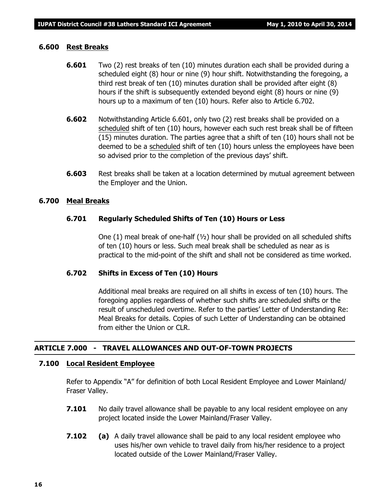#### **6.600 Rest Breaks**

- **6.601** Two (2) rest breaks of ten (10) minutes duration each shall be provided during a scheduled eight (8) hour or nine (9) hour shift. Notwithstanding the foregoing, a third rest break of ten (10) minutes duration shall be provided after eight (8) hours if the shift is subsequently extended beyond eight (8) hours or nine (9) hours up to a maximum of ten (10) hours. Refer also to Article 6.702.
- **6.602** Notwithstanding Article 6.601, only two (2) rest breaks shall be provided on a scheduled shift of ten (10) hours, however each such rest break shall be of fifteen (15) minutes duration. The parties agree that a shift of ten (10) hours shall not be deemed to be a scheduled shift of ten (10) hours unless the employees have been so advised prior to the completion of the previous days' shift.
- **6.603** Rest breaks shall be taken at a location determined by mutual agreement between the Employer and the Union.

#### **6.700 Meal Breaks**

#### **6.701 Regularly Scheduled Shifts of Ten (10) Hours or Less**

One (1) meal break of one-half  $(v_2)$  hour shall be provided on all scheduled shifts of ten (10) hours or less. Such meal break shall be scheduled as near as is practical to the mid-point of the shift and shall not be considered as time worked.

#### **6.702 Shifts in Excess of Ten (10) Hours**

Additional meal breaks are required on all shifts in excess of ten (10) hours. The foregoing applies regardless of whether such shifts are scheduled shifts or the result of unscheduled overtime. Refer to the parties' Letter of Understanding Re: Meal Breaks for details. Copies of such Letter of Understanding can be obtained from either the Union or CLR.

#### **ARTICLE 7.000 - TRAVEL ALLOWANCES AND OUT-OF-TOWN PROJECTS**

#### **7.100 Local Resident Employee**

Refer to Appendix "A" for definition of both Local Resident Employee and Lower Mainland/ Fraser Valley.

- **7.101** No daily travel allowance shall be payable to any local resident employee on any project located inside the Lower Mainland/Fraser Valley.
- **7.102 (a)** A daily travel allowance shall be paid to any local resident employee who uses his/her own vehicle to travel daily from his/her residence to a project located outside of the Lower Mainland/Fraser Valley.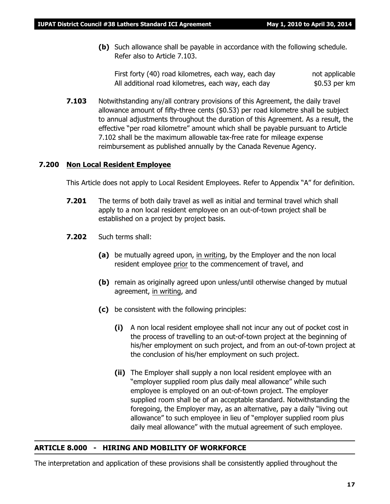**(b)** Such allowance shall be payable in accordance with the following schedule. Refer also to Article 7.103.

First forty (40) road kilometres, each way, each day hot applicable All additional road kilometres, each way, each day  $$0.53$  per km

**7.103** Notwithstanding any/all contrary provisions of this Agreement, the daily travel allowance amount of fifty-three cents (\$0.53) per road kilometre shall be subject to annual adjustments throughout the duration of this Agreement. As a result, the effective "per road kilometre" amount which shall be payable pursuant to Article 7.102 shall be the maximum allowable tax-free rate for mileage expense reimbursement as published annually by the Canada Revenue Agency.

#### **7.200 Non Local Resident Employee**

This Article does not apply to Local Resident Employees. Refer to Appendix "A" for definition.

- **7.201** The terms of both daily travel as well as initial and terminal travel which shall apply to a non local resident employee on an out-of-town project shall be established on a project by project basis.
- **7.202** Such terms shall:
	- **(a)** be mutually agreed upon, in writing, by the Employer and the non local resident employee prior to the commencement of travel, and
	- **(b)** remain as originally agreed upon unless/until otherwise changed by mutual agreement, in writing, and
	- **(c)** be consistent with the following principles:
		- **(i)** A non local resident employee shall not incur any out of pocket cost in the process of travelling to an out-of-town project at the beginning of his/her employment on such project, and from an out-of-town project at the conclusion of his/her employment on such project.
		- **(ii)** The Employer shall supply a non local resident employee with an "employer supplied room plus daily meal allowance" while such employee is employed on an out-of-town project. The employer supplied room shall be of an acceptable standard. Notwithstanding the foregoing, the Employer may, as an alternative, pay a daily "living out allowance" to such employee in lieu of "employer supplied room plus daily meal allowance" with the mutual agreement of such employee.

#### **ARTICLE 8.000 - HIRING AND MOBILITY OF WORKFORCE**

The interpretation and application of these provisions shall be consistently applied throughout the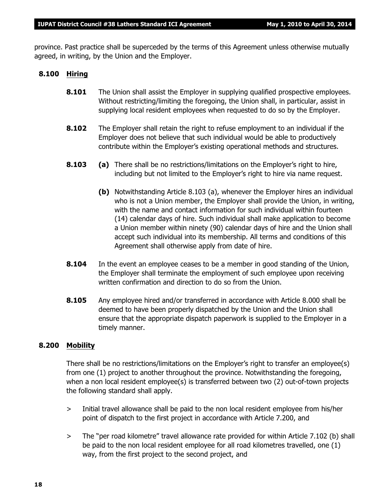province. Past practice shall be superceded by the terms of this Agreement unless otherwise mutually agreed, in writing, by the Union and the Employer.

#### **8.100 Hiring**

- **8.101** The Union shall assist the Employer in supplying qualified prospective employees. Without restricting/limiting the foregoing, the Union shall, in particular, assist in supplying local resident employees when requested to do so by the Employer.
- **8.102** The Employer shall retain the right to refuse employment to an individual if the Employer does not believe that such individual would be able to productively contribute within the Employer's existing operational methods and structures.
- **8.103 (a)** There shall be no restrictions/limitations on the Employer's right to hire, including but not limited to the Employer's right to hire via name request.
	- **(b)** Notwithstanding Article 8.103 (a), whenever the Employer hires an individual who is not a Union member, the Employer shall provide the Union, in writing, with the name and contact information for such individual within fourteen (14) calendar days of hire. Such individual shall make application to become a Union member within ninety (90) calendar days of hire and the Union shall accept such individual into its membership. All terms and conditions of this Agreement shall otherwise apply from date of hire.
- **8.104** In the event an employee ceases to be a member in good standing of the Union, the Employer shall terminate the employment of such employee upon receiving written confirmation and direction to do so from the Union.
- **8.105** Any employee hired and/or transferred in accordance with Article 8.000 shall be deemed to have been properly dispatched by the Union and the Union shall ensure that the appropriate dispatch paperwork is supplied to the Employer in a timely manner.

#### **8.200 Mobility**

There shall be no restrictions/limitations on the Employer's right to transfer an employee(s) from one (1) project to another throughout the province. Notwithstanding the foregoing, when a non local resident employee(s) is transferred between two (2) out-of-town projects the following standard shall apply.

- > Initial travel allowance shall be paid to the non local resident employee from his/her point of dispatch to the first project in accordance with Article 7.200, and
- > The "per road kilometre" travel allowance rate provided for within Article 7.102 (b) shall be paid to the non local resident employee for all road kilometres travelled, one (1) way, from the first project to the second project, and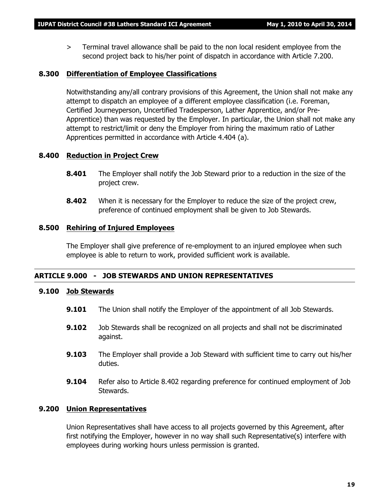> Terminal travel allowance shall be paid to the non local resident employee from the second project back to his/her point of dispatch in accordance with Article 7.200.

#### **8.300 Differentiation of Employee Classifications**

Notwithstanding any/all contrary provisions of this Agreement, the Union shall not make any attempt to dispatch an employee of a different employee classification (i.e. Foreman, Certified Journeyperson, Uncertified Tradesperson, Lather Apprentice, and/or Pre-Apprentice) than was requested by the Employer. In particular, the Union shall not make any attempt to restrict/limit or deny the Employer from hiring the maximum ratio of Lather Apprentices permitted in accordance with Article 4.404 (a).

#### **8.400 Reduction in Project Crew**

- **8.401** The Employer shall notify the Job Steward prior to a reduction in the size of the project crew.
- **8.402** When it is necessary for the Employer to reduce the size of the project crew, preference of continued employment shall be given to Job Stewards.

#### **8.500 Rehiring of Injured Employees**

The Employer shall give preference of re-employment to an injured employee when such employee is able to return to work, provided sufficient work is available.

#### **ARTICLE 9.000 - JOB STEWARDS AND UNION REPRESENTATIVES**

#### **9.100 Job Stewards**

- **9.101** The Union shall notify the Employer of the appointment of all Job Stewards.
- **9.102** Job Stewards shall be recognized on all projects and shall not be discriminated against.
- **9.103** The Employer shall provide a Job Steward with sufficient time to carry out his/her duties.
- **9.104** Refer also to Article 8.402 regarding preference for continued employment of Job Stewards.

#### **9.200 Union Representatives**

Union Representatives shall have access to all projects governed by this Agreement, after first notifying the Employer, however in no way shall such Representative(s) interfere with employees during working hours unless permission is granted.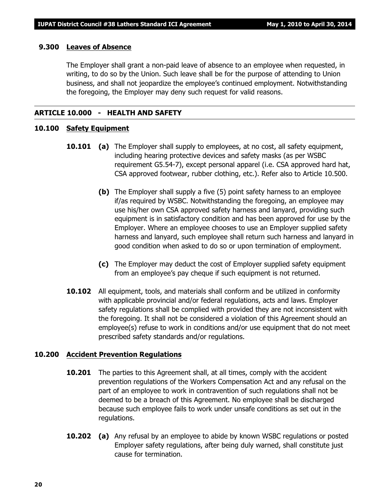#### **9.300 Leaves of Absence**

The Employer shall grant a non-paid leave of absence to an employee when requested, in writing, to do so by the Union. Such leave shall be for the purpose of attending to Union business, and shall not jeopardize the employee's continued employment. Notwithstanding the foregoing, the Employer may deny such request for valid reasons.

#### **ARTICLE 10.000 - HEALTH AND SAFETY**

#### **10.100 Safety Equipment**

- **10.101 (a)** The Employer shall supply to employees, at no cost, all safety equipment, including hearing protective devices and safety masks (as per WSBC requirement G5.54-7), except personal apparel (i.e. CSA approved hard hat, CSA approved footwear, rubber clothing, etc.). Refer also to Article 10.500.
	- **(b)** The Employer shall supply a five (5) point safety harness to an employee if/as required by WSBC. Notwithstanding the foregoing, an employee may use his/her own CSA approved safety harness and lanyard, providing such equipment is in satisfactory condition and has been approved for use by the Employer. Where an employee chooses to use an Employer supplied safety harness and lanyard, such employee shall return such harness and lanyard in good condition when asked to do so or upon termination of employment.
	- **(c)** The Employer may deduct the cost of Employer supplied safety equipment from an employee's pay cheque if such equipment is not returned.
- **10.102** All equipment, tools, and materials shall conform and be utilized in conformity with applicable provincial and/or federal regulations, acts and laws. Employer safety regulations shall be complied with provided they are not inconsistent with the foregoing. It shall not be considered a violation of this Agreement should an employee(s) refuse to work in conditions and/or use equipment that do not meet prescribed safety standards and/or regulations.

#### **10.200 Accident Prevention Regulations**

- **10.201** The parties to this Agreement shall, at all times, comply with the accident prevention regulations of the *Workers Compensation Act* and any refusal on the part of an employee to work in contravention of such regulations shall not be deemed to be a breach of this Agreement. No employee shall be discharged because such employee fails to work under unsafe conditions as set out in the regulations.
- **10.202 (a)** Any refusal by an employee to abide by known WSBC regulations or posted Employer safety regulations, after being duly warned, shall constitute just cause for termination.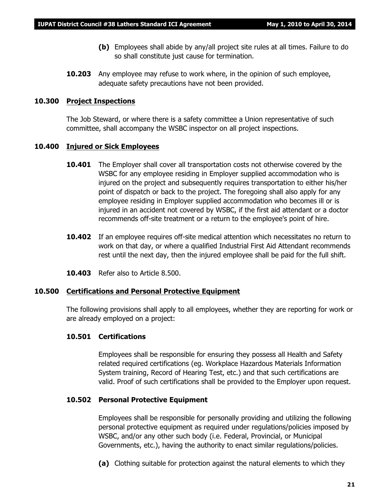- **(b)** Employees shall abide by any/all project site rules at all times. Failure to do so shall constitute just cause for termination.
- **10.203** Any employee may refuse to work where, in the opinion of such employee, adequate safety precautions have not been provided.

#### **10.300 Project Inspections**

The Job Steward, or where there is a safety committee a Union representative of such committee, shall accompany the WSBC inspector on all project inspections.

#### **10.400 Injured or Sick Employees**

- **10.401** The Employer shall cover all transportation costs not otherwise covered by the WSBC for any employee residing in Employer supplied accommodation who is injured on the project and subsequently requires transportation to either his/her point of dispatch or back to the project. The foregoing shall also apply for any employee residing in Employer supplied accommodation who becomes ill or is injured in an accident not covered by WSBC, if the first aid attendant or a doctor recommends off-site treatment or a return to the employee's point of hire.
- **10.402** If an employee requires off-site medical attention which necessitates no return to work on that day, or where a qualified Industrial First Aid Attendant recommends rest until the next day, then the injured employee shall be paid for the full shift.
- **10.403** Refer also to Article 8.500.

#### **10.500 Certifications and Personal Protective Equipment**

The following provisions shall apply to all employees, whether they are reporting for work or are already employed on a project:

#### **10.501 Certifications**

Employees shall be responsible for ensuring they possess all Health and Safety related required certifications (eg. Workplace Hazardous Materials Information System training, Record of Hearing Test, etc.) and that such certifications are valid. Proof of such certifications shall be provided to the Employer upon request.

#### **10.502 Personal Protective Equipment**

Employees shall be responsible for personally providing and utilizing the following personal protective equipment as required under regulations/policies imposed by WSBC, and/or any other such body (i.e. Federal, Provincial, or Municipal Governments, etc.), having the authority to enact similar regulations/policies.

**(a)** Clothing suitable for protection against the natural elements to which they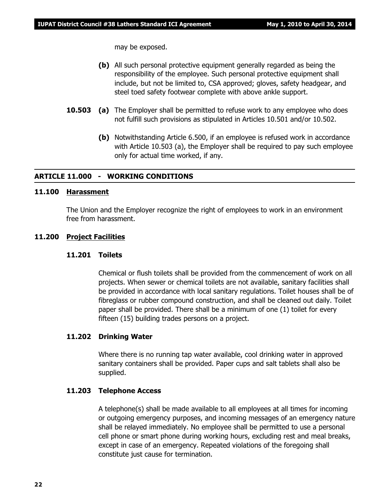may be exposed.

- **(b)** All such personal protective equipment generally regarded as being the responsibility of the employee. Such personal protective equipment shall include, but not be limited to, CSA approved; gloves, safety headgear, and steel toed safety footwear complete with above ankle support.
- **10.503 (a)** The Employer shall be permitted to refuse work to any employee who does not fulfill such provisions as stipulated in Articles 10.501 and/or 10.502.
	- **(b)** Notwithstanding Article 6.500, if an employee is refused work in accordance with Article 10.503 (a), the Employer shall be required to pay such employee only for actual time worked, if any.

#### **ARTICLE 11.000 - WORKING CONDITIONS**

#### **11.100 Harassment**

The Union and the Employer recognize the right of employees to work in an environment free from harassment.

#### **11.200 Project Facilities**

#### **11.201 Toilets**

Chemical or flush toilets shall be provided from the commencement of work on all projects. When sewer or chemical toilets are not available, sanitary facilities shall be provided in accordance with local sanitary regulations. Toilet houses shall be of fibreglass or rubber compound construction, and shall be cleaned out daily. Toilet paper shall be provided. There shall be a minimum of one (1) toilet for every fifteen (15) building trades persons on a project.

#### **11.202 Drinking Water**

Where there is no running tap water available, cool drinking water in approved sanitary containers shall be provided. Paper cups and salt tablets shall also be supplied.

#### **11.203 Telephone Access**

A telephone(s) shall be made available to all employees at all times for incoming or outgoing emergency purposes, and incoming messages of an emergency nature shall be relayed immediately. No employee shall be permitted to use a personal cell phone or smart phone during working hours, excluding rest and meal breaks, except in case of an emergency. Repeated violations of the foregoing shall constitute just cause for termination.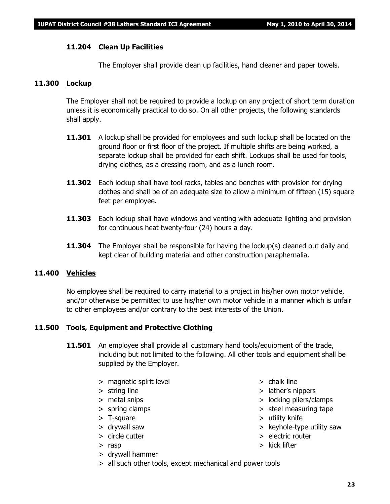#### **11.204 Clean Up Facilities**

The Employer shall provide clean up facilities, hand cleaner and paper towels.

#### **11.300 Lockup**

The Employer shall not be required to provide a lockup on any project of short term duration unless it is economically practical to do so. On all other projects, the following standards shall apply.

- **11.301** A lockup shall be provided for employees and such lockup shall be located on the ground floor or first floor of the project. If multiple shifts are being worked, a separate lockup shall be provided for each shift. Lockups shall be used for tools, drying clothes, as a dressing room, and as a lunch room.
- **11.302** Each lockup shall have tool racks, tables and benches with provision for drying clothes and shall be of an adequate size to allow a minimum of fifteen (15) square feet per employee.
- **11.303** Each lockup shall have windows and venting with adequate lighting and provision for continuous heat twenty-four (24) hours a day.
- **11.304** The Employer shall be responsible for having the lockup(s) cleaned out daily and kept clear of building material and other construction paraphernalia.

#### **11.400 Vehicles**

No employee shall be required to carry material to a project in his/her own motor vehicle, and/or otherwise be permitted to use his/her own motor vehicle in a manner which is unfair to other employees and/or contrary to the best interests of the Union.

#### **11.500 Tools, Equipment and Protective Clothing**

- **11.501** An employee shall provide all customary hand tools/equipment of the trade, including but not limited to the following. All other tools and equipment shall be supplied by the Employer.
	- > magnetic spirit level > chalk line
	-
	-
	-
	-
	-
	-
	-
	- > drywall hammer
	- > all such other tools, except mechanical and power tools
- 
- > string line > lather's nippers
- > metal snips > locking pliers/clamps
- > spring clamps > steel measuring tape
- > T-square > utility knife
- > drywall saw > keyhole-type utility saw
- > circle cutter > electric router
- > rasp > kick lifter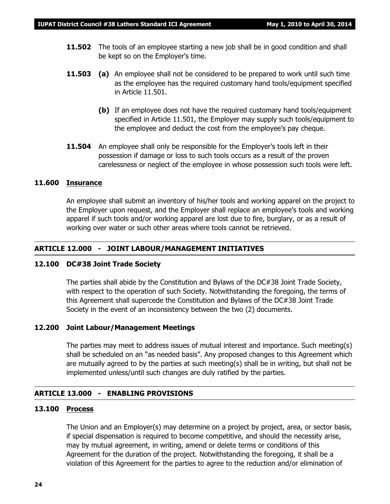- **11.502** The tools of an employee starting a new job shall be in good condition and shall be kept so on the Employer's time.
- **11.503 (a)** An employee shall not be considered to be prepared to work until such time as the employee has the required customary hand tools/equipment specified in Article 11.501.
	- **(b)** If an employee does not have the required customary hand tools/equipment specified in Article 11.501, the Employer may supply such tools/equipment to the employee and deduct the cost from the employee's pay cheque.
- **11.504** An employee shall only be responsible for the Employer's tools left in their possession if damage or loss to such tools occurs as a result of the proven carelessness or neglect of the employee in whose possession such tools were left.

#### **11.600 Insurance**

An employee shall submit an inventory of his/her tools and working apparel on the project to the Employer upon request, and the Employer shall replace an employee's tools and working apparel if such tools and/or working apparel are lost due to fire, burglary, or as a result of working over water or such other areas where tools cannot be retrieved.

#### **ARTICLE 12.000 - JOINT LABOUR/MANAGEMENT INITIATIVES**

#### **12.100 DC#38 Joint Trade Society**

The parties shall abide by the Constitution and Bylaws of the DC#38 Joint Trade Society, with respect to the operation of such Society. Notwithstanding the foregoing, the terms of this Agreement shall supercede the Constitution and Bylaws of the DC#38 Joint Trade Society in the event of an inconsistency between the two (2) documents.

#### **12.200 Joint Labour/Management Meetings**

The parties may meet to address issues of mutual interest and importance. Such meeting(s) shall be scheduled on an "as needed basis". Any proposed changes to this Agreement which are mutually agreed to by the parties at such meeting(s) shall be in writing, but shall not be implemented unless/until such changes are duly ratified by the parties.

#### **ARTICLE 13.000 - ENABLING PROVISIONS**

#### **13.100 Process**

The Union and an Employer(s) may determine on a project by project, area, or sector basis, if special dispensation is required to become competitive, and should the necessity arise, may by mutual agreement, in writing, amend or delete terms or conditions of this Agreement for the duration of the project. Notwithstanding the foregoing, it shall be a violation of this Agreement for the parties to agree to the reduction and/or elimination of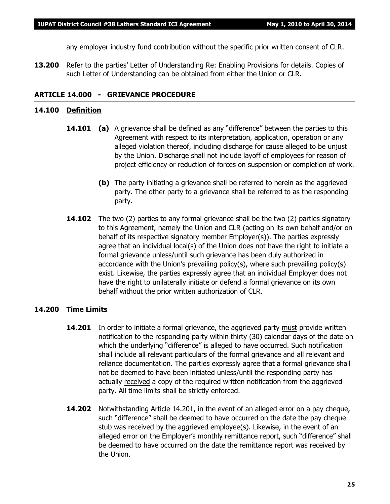any employer industry fund contribution without the specific prior written consent of CLR.

**13.200** Refer to the parties' Letter of Understanding Re: Enabling Provisions for details. Copies of such Letter of Understanding can be obtained from either the Union or CLR.

#### **ARTICLE 14.000 - GRIEVANCE PROCEDURE**

#### **14.100 Definition**

- **14.101 (a)** A grievance shall be defined as any "difference" between the parties to this Agreement with respect to its interpretation, application, operation or any alleged violation thereof, including discharge for cause alleged to be unjust by the Union. Discharge shall not include layoff of employees for reason of project efficiency or reduction of forces on suspension or completion of work.
	- **(b)** The party initiating a grievance shall be referred to herein as the aggrieved party. The other party to a grievance shall be referred to as the responding party.
- **14.102** The two (2) parties to any formal grievance shall be the two (2) parties signatory to this Agreement, namely the Union and CLR (acting on its own behalf and/or on behalf of its respective signatory member Employer(s)). The parties expressly agree that an individual local(s) of the Union does not have the right to initiate a formal grievance unless/until such grievance has been duly authorized in accordance with the Union's prevailing policy(s), where such prevailing policy(s) exist. Likewise, the parties expressly agree that an individual Employer does not have the right to unilaterally initiate or defend a formal grievance on its own behalf without the prior written authorization of CLR.

#### **14.200 Time Limits**

- **14.201** In order to initiate a formal grievance, the aggrieved party must provide written notification to the responding party within thirty (30) calendar days of the date on which the underlying "difference" is alleged to have occurred. Such notification shall include all relevant particulars of the formal grievance and all relevant and reliance documentation. The parties expressly agree that a formal grievance shall not be deemed to have been initiated unless/until the responding party has actually received a copy of the required written notification from the aggrieved party. All time limits shall be strictly enforced.
- **14.202** Notwithstanding Article 14.201, in the event of an alleged error on a pay cheque, such "difference" shall be deemed to have occurred on the date the pay cheque stub was received by the aggrieved employee(s). Likewise, in the event of an alleged error on the Employer's monthly remittance report, such "difference" shall be deemed to have occurred on the date the remittance report was received by the Union.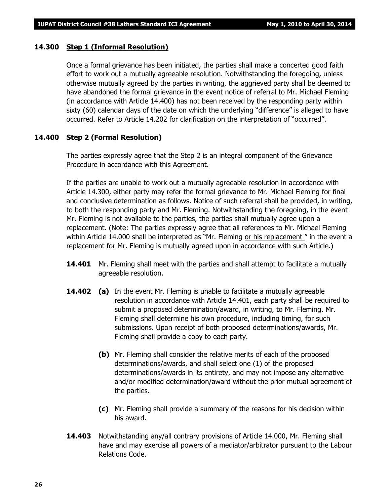#### **14.300 Step 1 (Informal Resolution)**

Once a formal grievance has been initiated, the parties shall make a concerted good faith effort to work out a mutually agreeable resolution. Notwithstanding the foregoing, unless otherwise mutually agreed by the parties in writing, the aggrieved party shall be deemed to have abandoned the formal grievance in the event notice of referral to Mr. Michael Fleming (in accordance with Article 14.400) has not been received by the responding party within sixty (60) calendar days of the date on which the underlying "difference" is alleged to have occurred. Refer to Article 14.202 for clarification on the interpretation of "occurred".

#### **14.400 Step 2 (Formal Resolution)**

The parties expressly agree that the Step 2 is an integral component of the Grievance Procedure in accordance with this Agreement.

If the parties are unable to work out a mutually agreeable resolution in accordance with Article 14.300, either party may refer the formal grievance to Mr. Michael Fleming for final and conclusive determination as follows. Notice of such referral shall be provided, in writing, to both the responding party and Mr. Fleming. Notwithstanding the foregoing, in the event Mr. Fleming is not available to the parties, the parties shall mutually agree upon a replacement. (Note: The parties expressly agree that all references to Mr. Michael Fleming within Article 14.000 shall be interpreted as *"Mr. Fleming or his replacement "* in the event a replacement for Mr. Fleming is mutually agreed upon in accordance with such Article.)

- **14.401** Mr. Fleming shall meet with the parties and shall attempt to facilitate a mutually agreeable resolution.
- **14.402 (a)** In the event Mr. Fleming is unable to facilitate a mutually agreeable resolution in accordance with Article 14.401, each party shall be required to submit a proposed determination/award, in writing, to Mr. Fleming. Mr. Fleming shall determine his own procedure, including timing, for such submissions. Upon receipt of both proposed determinations/awards, Mr. Fleming shall provide a copy to each party.
	- **(b)** Mr. Fleming shall consider the relative merits of each of the proposed determinations/awards, and shall select one (1) of the proposed determinations/awards in its entirety, and may not impose any alternative and/or modified determination/award without the prior mutual agreement of the parties.
	- **(c)** Mr. Fleming shall provide a summary of the reasons for his decision within his award.
- **14.403** Notwithstanding any/all contrary provisions of Article 14.000, Mr. Fleming shall have and may exercise all powers of a mediator/arbitrator pursuant to the *Labour Relations Code.*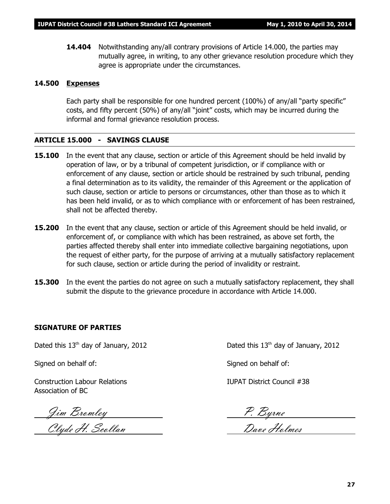**14.404** Notwithstanding any/all contrary provisions of Article 14.000, the parties may mutually agree, in writing, to any other grievance resolution procedure which they agree is appropriate under the circumstances.

#### **14.500 Expenses**

Each party shall be responsible for one hundred percent (100%) of any/all "party specific" costs, and fifty percent (50%) of any/all "joint" costs, which may be incurred during the informal and formal grievance resolution process.

#### **ARTICLE 15.000 - SAVINGS CLAUSE**

- **15.100** In the event that any clause, section or article of this Agreement should be held invalid by operation of law, or by a tribunal of competent jurisdiction, or if compliance with or enforcement of any clause, section or article should be restrained by such tribunal, pending a final determination as to its validity, the remainder of this Agreement or the application of such clause, section or article to persons or circumstances, other than those as to which it has been held invalid, or as to which compliance with or enforcement of has been restrained, shall not be affected thereby.
- **15.200** In the event that any clause, section or article of this Agreement should be held invalid, or enforcement of, or compliance with which has been restrained, as above set forth, the parties affected thereby shall enter into immediate collective bargaining negotiations, upon the request of either party, for the purpose of arriving at a mutually satisfactory replacement for such clause, section or article during the period of invalidity or restraint.
- **15.300** In the event the parties do not agree on such a mutually satisfactory replacement, they shall submit the dispute to the grievance procedure in accordance with Article 14.000.

#### **SIGNATURE OF PARTIES**

Signed on behalf of: Signed on behalf of:

Construction Labour Relations IUPAT District Council #38 Association of BC

Jim Bromley P. Byrne

Clyde H. Scollan Dave Holmes

Dated this  $13<sup>th</sup>$  day of January, 2012 Dated this  $13<sup>th</sup>$  day of January, 2012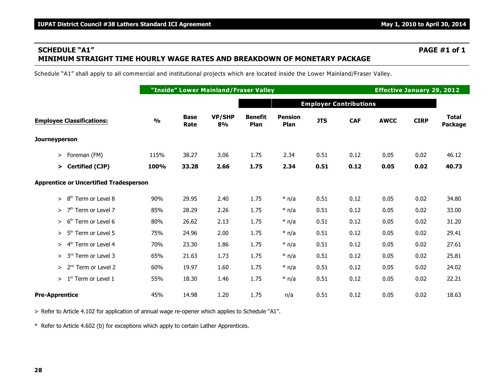### **SCHEDULE "A1" PAGE #1 of 1 MINIMUM STRAIGHT TIME HOURLY WAGE RATES AND BREAKDOWN OF MONETARY PACKAGE**

Schedule "A1" shall apply to all commercial and institutional projects which are located inside the Lower Mainland/Fraser Valley.

|                                               |               |                     | "Inside" Lower Mainland/Fraser Valley |                        |                        |            |                               | <b>Effective January 29, 2012</b> |             |                                |
|-----------------------------------------------|---------------|---------------------|---------------------------------------|------------------------|------------------------|------------|-------------------------------|-----------------------------------|-------------|--------------------------------|
|                                               |               |                     |                                       |                        |                        |            | <b>Employer Contributions</b> |                                   |             |                                |
| <b>Employee Classifications:</b>              | $\frac{0}{0}$ | <b>Base</b><br>Rate | <b>VP/SHP</b><br>8%                   | <b>Benefit</b><br>Plan | <b>Pension</b><br>Plan | <b>JTS</b> | <b>CAF</b>                    | <b>AWCC</b>                       | <b>CIRP</b> | <b>Total</b><br><b>Package</b> |
| <b>Journeyperson</b>                          |               |                     |                                       |                        |                        |            |                               |                                   |             |                                |
| Foreman (FM)<br>≻                             | 115%          | 38.27               | 3.06                                  | 1.75                   | 2.34                   | 0.51       | 0.12                          | 0.05                              | 0.02        | 46.12                          |
| > Certified (CJP)                             | 100%          | 33.28               | 2.66                                  | 1.75                   | 2.34                   | 0.51       | 0.12                          | 0.05                              | 0.02        | 40.73                          |
| <b>Apprentice or Uncertified Tradesperson</b> |               |                     |                                       |                        |                        |            |                               |                                   |             |                                |
| $>8th$ Term or Level 8                        | 90%           | 29.95               | 2.40                                  | 1.75                   | $*$ n/a                | 0.51       | 0.12                          | 0.05                              | 0.02        | 34.80                          |
| $>$ 7 <sup>th</sup> Term or Level 7           | 85%           | 28.29               | 2.26                                  | 1.75                   | $*$ n/a                | 0.51       | 0.12                          | 0.05                              | 0.02        | 33.00                          |
| 6 <sup>th</sup> Term or Level 6<br>$\geq$     | 80%           | 26.62               | 2.13                                  | 1.75                   | $*$ n/a                | 0.51       | 0.12                          | 0.05                              | 0.02        | 31.20                          |
| 5 <sup>th</sup> Term or Level 5<br>$\geq$     | 75%           | 24.96               | 2.00                                  | 1.75                   | $*$ n/a                | 0.51       | 0.12                          | 0.05                              | 0.02        | 29.41                          |
| $> 4th$ Term or Level 4                       | 70%           | 23.30               | 1.86                                  | 1.75                   | $*$ n/a                | 0.51       | 0.12                          | 0.05                              | 0.02        | 27.61                          |
| $> 3rd$ Term or Level 3                       | 65%           | 21.63               | 1.73                                  | 1.75                   | $*$ n/a                | 0.51       | 0.12                          | 0.05                              | 0.02        | 25.81                          |
| $> 2nd$ Term or Level 2                       | 60%           | 19.97               | 1.60                                  | 1.75                   | $*$ n/a                | 0.51       | 0.12                          | 0.05                              | 0.02        | 24.02                          |
| $1st$ Term or Level 1<br>$\geq$               | 55%           | 18.30               | 1.46                                  | 1.75                   | $*$ n/a                | 0.51       | 0.12                          | 0.05                              | 0.02        | 22.21                          |
| <b>Pre-Apprentice</b>                         | 45%           | 14.98               | 1.20                                  | 1.75                   | n/a                    | 0.51       | 0.12                          | 0.05                              | 0.02        | 18.63                          |

> Refer to Article 4.102 for application of annual wage re-opener which applies to Schedule "A1".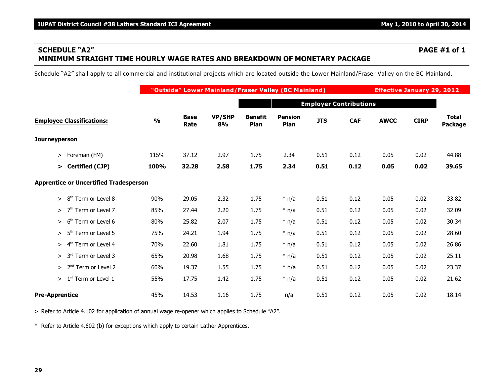#### **SCHEDULE "A2" PAGE #1 of 1 MINIMUM STRAIGHT TIME HOURLY WAGE RATES AND BREAKDOWN OF MONETARY PACKAGE**

Schedule "A2" shall apply to all commercial and institutional projects which are located outside the Lower Mainland/Fraser Valley on the BC Mainland.

|                                               |               |                     | "Outside" Lower Mainland/Fraser Valley (BC Mainland) |                        | <b>Effective January 29, 2012</b> |            |            |             |             |                                |  |  |  |
|-----------------------------------------------|---------------|---------------------|------------------------------------------------------|------------------------|-----------------------------------|------------|------------|-------------|-------------|--------------------------------|--|--|--|
|                                               |               |                     |                                                      |                        | <b>Employer Contributions</b>     |            |            |             |             |                                |  |  |  |
| <b>Employee Classifications:</b>              | $\frac{0}{0}$ | <b>Base</b><br>Rate | VP/SHP<br>8%                                         | <b>Benefit</b><br>Plan | <b>Pension</b><br>Plan            | <b>JTS</b> | <b>CAF</b> | <b>AWCC</b> | <b>CIRP</b> | <b>Total</b><br><b>Package</b> |  |  |  |
| <b>Journeyperson</b>                          |               |                     |                                                      |                        |                                   |            |            |             |             |                                |  |  |  |
| Foreman (FM)<br>$\geq$                        | 115%          | 37.12               | 2.97                                                 | 1.75                   | 2.34                              | 0.51       | 0.12       | 0.05        | 0.02        | 44.88                          |  |  |  |
| > Certified (CJP)                             | 100%          | 32.28               | 2.58                                                 | 1.75                   | 2.34                              | 0.51       | 0.12       | 0.05        | 0.02        | 39.65                          |  |  |  |
| <b>Apprentice or Uncertified Tradesperson</b> |               |                     |                                                      |                        |                                   |            |            |             |             |                                |  |  |  |
| 8 <sup>th</sup> Term or Level 8<br>$\geq$     | 90%           | 29.05               | 2.32                                                 | 1.75                   | $*$ n/a                           | 0.51       | 0.12       | 0.05        | 0.02        | 33.82                          |  |  |  |
| $>$ 7 <sup>th</sup> Term or Level 7           | 85%           | 27.44               | 2.20                                                 | 1.75                   | $*$ n/a                           | 0.51       | 0.12       | 0.05        | 0.02        | 32.09                          |  |  |  |
| 6 <sup>th</sup> Term or Level 6<br>$\geq$     | 80%           | 25.82               | 2.07                                                 | 1.75                   | $*$ n/a                           | 0.51       | 0.12       | 0.05        | 0.02        | 30.34                          |  |  |  |
| > 5 <sup>th</sup> Term or Level 5             | 75%           | 24.21               | 1.94                                                 | 1.75                   | $*$ n/a                           | 0.51       | 0.12       | 0.05        | 0.02        | 28.60                          |  |  |  |
| $> 4th$ Term or Level 4                       | 70%           | 22.60               | 1.81                                                 | 1.75                   | $*$ n/a                           | 0.51       | 0.12       | 0.05        | 0.02        | 26.86                          |  |  |  |
| $> 3rd$ Term or Level 3                       | 65%           | 20.98               | 1.68                                                 | 1.75                   | $*$ n/a                           | 0.51       | 0.12       | 0.05        | 0.02        | 25.11                          |  |  |  |
| $> 2nd$ Term or Level 2                       | 60%           | 19.37               | 1.55                                                 | 1.75                   | $*$ n/a                           | 0.51       | 0.12       | 0.05        | 0.02        | 23.37                          |  |  |  |
| $>1st$ Term or Level 1                        | 55%           | 17.75               | 1.42                                                 | 1.75                   | $*$ n/a                           | 0.51       | 0.12       | 0.05        | 0.02        | 21.62                          |  |  |  |
| <b>Pre-Apprentice</b>                         | 45%           | 14.53               | 1.16                                                 | 1.75                   | n/a                               | 0.51       | 0.12       | 0.05        | 0.02        | 18.14                          |  |  |  |

> Refer to Article 4.102 for application of annual wage re-opener which applies to Schedule "A2".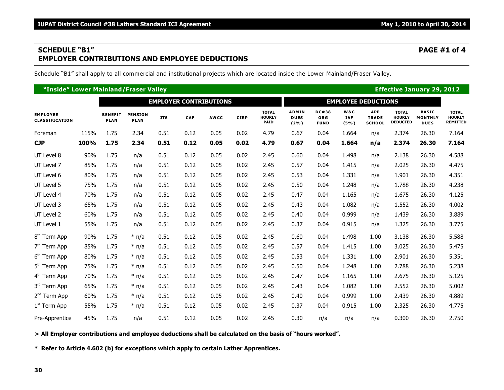### **SCHEDULE "B1" PAGE #1 of 4 EMPLOYER CONTRIBUTIONS AND EMPLOYEE DEDUCTIONS**

Schedule "B1" shall apply to all commercial and institutional projects which are located inside the Lower Mainland/Fraser Valley.

| "Inside" Lower Mainland/Fraser Valley    |      |                               |                               |            |      |                               |             |                                              |                                     |                                           |                           |                                             | <b>Effective January 29, 2012</b>                |                                               |                                                  |
|------------------------------------------|------|-------------------------------|-------------------------------|------------|------|-------------------------------|-------------|----------------------------------------------|-------------------------------------|-------------------------------------------|---------------------------|---------------------------------------------|--------------------------------------------------|-----------------------------------------------|--------------------------------------------------|
|                                          |      |                               |                               |            |      | <b>EMPLOYER CONTRIBUTIONS</b> |             |                                              |                                     |                                           |                           | <b>EMPLOYEE DEDUCTIONS</b>                  |                                                  |                                               |                                                  |
| <b>EMPLOYEE</b><br><b>CLASSIFICATION</b> |      | <b>BENEFIT</b><br><b>PLAN</b> | <b>PENSION</b><br><b>PLAN</b> | <b>JTS</b> | CAF  | <b>AWCC</b>                   | <b>CIRP</b> | <b>TOTAL</b><br><b>HOURLY</b><br><b>PAID</b> | <b>ADMIN</b><br><b>DUES</b><br>(2%) | <b>DC#38</b><br><b>ORG</b><br><b>FUND</b> | W&C<br><b>IAF</b><br>(5%) | <b>APP</b><br><b>TRADE</b><br><b>SCHOOL</b> | <b>TOTAL</b><br><b>HOURLY</b><br><b>DEDUCTED</b> | <b>BASIC</b><br><b>MONTHLY</b><br><b>DUES</b> | <b>TOTAL</b><br><b>HOURLY</b><br><b>REMITTED</b> |
| Foreman                                  | 115% | 1.75                          | 2.34                          | 0.51       | 0.12 | 0.05                          | 0.02        | 4.79                                         | 0.67                                | 0.04                                      | 1.664                     | n/a                                         | 2.374                                            | 26.30                                         | 7.164                                            |
| <b>CJP</b>                               | 100% | 1.75                          | 2.34                          | 0.51       | 0.12 | 0.05                          | 0.02        | 4.79                                         | 0.67                                | 0.04                                      | 1.664                     | n/a                                         | 2.374                                            | 26.30                                         | 7.164                                            |
| UT Level 8                               | 90%  | 1.75                          | n/a                           | 0.51       | 0.12 | 0.05                          | 0.02        | 2.45                                         | 0.60                                | 0.04                                      | 1.498                     | n/a                                         | 2.138                                            | 26.30                                         | 4.588                                            |
| UT Level 7                               | 85%  | 1.75                          | n/a                           | 0.51       | 0.12 | 0.05                          | 0.02        | 2.45                                         | 0.57                                | 0.04                                      | 1.415                     | n/a                                         | 2.025                                            | 26.30                                         | 4.475                                            |
| UT Level 6                               | 80%  | 1.75                          | n/a                           | 0.51       | 0.12 | 0.05                          | 0.02        | 2.45                                         | 0.53                                | 0.04                                      | 1.331                     | n/a                                         | 1.901                                            | 26.30                                         | 4.351                                            |
| UT Level 5                               | 75%  | 1.75                          | n/a                           | 0.51       | 0.12 | 0.05                          | 0.02        | 2.45                                         | 0.50                                | 0.04                                      | 1.248                     | n/a                                         | 1.788                                            | 26.30                                         | 4.238                                            |
| UT Level 4                               | 70%  | 1.75                          | n/a                           | 0.51       | 0.12 | 0.05                          | 0.02        | 2.45                                         | 0.47                                | 0.04                                      | 1.165                     | n/a                                         | 1.675                                            | 26.30                                         | 4.125                                            |
| UT Level 3                               | 65%  | 1.75                          | n/a                           | 0.51       | 0.12 | 0.05                          | 0.02        | 2.45                                         | 0.43                                | 0.04                                      | 1.082                     | n/a                                         | 1.552                                            | 26.30                                         | 4.002                                            |
| UT Level 2                               | 60%  | 1.75                          | n/a                           | 0.51       | 0.12 | 0.05                          | 0.02        | 2.45                                         | 0.40                                | 0.04                                      | 0.999                     | n/a                                         | 1.439                                            | 26.30                                         | 3.889                                            |
| UT Level 1                               | 55%  | 1.75                          | n/a                           | 0.51       | 0.12 | 0.05                          | 0.02        | 2.45                                         | 0.37                                | 0.04                                      | 0.915                     | n/a                                         | 1.325                                            | 26.30                                         | 3.775                                            |
| 8 <sup>th</sup> Term App                 | 90%  | 1.75                          | $*$ n/a                       | 0.51       | 0.12 | 0.05                          | 0.02        | 2.45                                         | 0.60                                | 0.04                                      | 1.498                     | 1.00                                        | 3.138                                            | 26.30                                         | 5.588                                            |
| 7 <sup>th</sup> Term App                 | 85%  | 1.75                          | $*$ n/a                       | 0.51       | 0.12 | 0.05                          | 0.02        | 2.45                                         | 0.57                                | 0.04                                      | 1.415                     | 1.00                                        | 3.025                                            | 26.30                                         | 5.475                                            |
| 6 <sup>th</sup> Term App                 | 80%  | 1.75                          | $*$ n/a                       | 0.51       | 0.12 | 0.05                          | 0.02        | 2.45                                         | 0.53                                | 0.04                                      | 1.331                     | 1.00                                        | 2.901                                            | 26.30                                         | 5.351                                            |
| 5 <sup>th</sup> Term App                 | 75%  | 1.75                          | $*$ n/a                       | 0.51       | 0.12 | 0.05                          | 0.02        | 2.45                                         | 0.50                                | 0.04                                      | 1.248                     | 1.00                                        | 2.788                                            | 26.30                                         | 5.238                                            |
| 4 <sup>th</sup> Term App                 | 70%  | 1.75                          | $*$ n/a                       | 0.51       | 0.12 | 0.05                          | 0.02        | 2.45                                         | 0.47                                | 0.04                                      | 1.165                     | 1.00                                        | 2.675                                            | 26.30                                         | 5.125                                            |
| 3rd Term App                             | 65%  | 1.75                          | $*$ n/a                       | 0.51       | 0.12 | 0.05                          | 0.02        | 2.45                                         | 0.43                                | 0.04                                      | 1.082                     | 1.00                                        | 2.552                                            | 26.30                                         | 5.002                                            |
| 2 <sup>nd</sup> Term App                 | 60%  | 1.75                          | $*$ n/a                       | 0.51       | 0.12 | 0.05                          | 0.02        | 2.45                                         | 0.40                                | 0.04                                      | 0.999                     | 1.00                                        | 2.439                                            | 26.30                                         | 4.889                                            |
| $1st$ Term App                           | 55%  | 1.75                          | $*$ n/a                       | 0.51       | 0.12 | 0.05                          | 0.02        | 2.45                                         | 0.37                                | 0.04                                      | 0.915                     | 1.00                                        | 2.325                                            | 26.30                                         | 4.775                                            |
| Pre-Apprentice                           | 45%  | 1.75                          | n/a                           | 0.51       | 0.12 | 0.05                          | 0.02        | 2.45                                         | 0.30                                | n/a                                       | n/a                       | n/a                                         | 0.300                                            | 26.30                                         | 2.750                                            |

**> All Employer contributions and employee deductions shall be calculated on the basis of "hours worked".**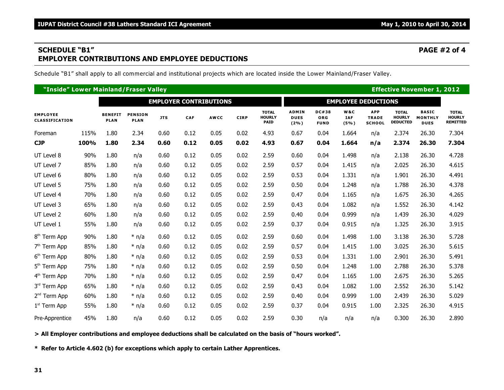### **SCHEDULE "B1" PAGE #2 of 4 EMPLOYER CONTRIBUTIONS AND EMPLOYEE DEDUCTIONS**

Schedule "B1" shall apply to all commercial and institutional projects which are located inside the Lower Mainland/Fraser Valley.

| "Inside" Lower Mainland/Fraser Valley |      |                               |                               |            |                               |             |             |                                              |                                        |                                    |                           |                                             | <b>Effective November 1, 2012</b>                |                                               |                                                  |
|---------------------------------------|------|-------------------------------|-------------------------------|------------|-------------------------------|-------------|-------------|----------------------------------------------|----------------------------------------|------------------------------------|---------------------------|---------------------------------------------|--------------------------------------------------|-----------------------------------------------|--------------------------------------------------|
|                                       |      |                               |                               |            | <b>EMPLOYER CONTRIBUTIONS</b> |             |             |                                              | <b>EMPLOYEE DEDUCTIONS</b>             |                                    |                           |                                             |                                                  |                                               |                                                  |
| <b>EMPLOYEE</b><br>CLASSIFICATION     |      | <b>BENEFIT</b><br><b>PLAN</b> | <b>PENSION</b><br><b>PLAN</b> | <b>JTS</b> | CAF                           | <b>AWCC</b> | <b>CIRP</b> | <b>TOTAL</b><br><b>HOURLY</b><br><b>PAID</b> | <b>ADMIN</b><br><b>DUES</b><br>$(2\%)$ | DC#38<br><b>ORG</b><br><b>FUND</b> | W&C<br><b>IAF</b><br>(5%) | <b>APP</b><br><b>TRADE</b><br><b>SCHOOL</b> | <b>TOTAL</b><br><b>HOURLY</b><br><b>DEDUCTED</b> | <b>BASIC</b><br><b>MONTHLY</b><br><b>DUES</b> | <b>TOTAL</b><br><b>HOURLY</b><br><b>REMITTED</b> |
| Foreman                               | 115% | 1.80                          | 2.34                          | 0.60       | 0.12                          | 0.05        | 0.02        | 4.93                                         | 0.67                                   | 0.04                               | 1.664                     | n/a                                         | 2.374                                            | 26.30                                         | 7.304                                            |
| <b>CJP</b>                            | 100% | 1.80                          | 2.34                          | 0.60       | 0.12                          | 0.05        | 0.02        | 4.93                                         | 0.67                                   | 0.04                               | 1.664                     | n/a                                         | 2.374                                            | 26.30                                         | 7.304                                            |
| UT Level 8                            | 90%  | 1.80                          | n/a                           | 0.60       | 0.12                          | 0.05        | 0.02        | 2.59                                         | 0.60                                   | 0.04                               | 1.498                     | n/a                                         | 2.138                                            | 26.30                                         | 4.728                                            |
| UT Level 7                            | 85%  | 1.80                          | n/a                           | 0.60       | 0.12                          | 0.05        | 0.02        | 2.59                                         | 0.57                                   | 0.04                               | 1.415                     | n/a                                         | 2.025                                            | 26.30                                         | 4.615                                            |
| UT Level 6                            | 80%  | 1.80                          | n/a                           | 0.60       | 0.12                          | 0.05        | 0.02        | 2.59                                         | 0.53                                   | 0.04                               | 1.331                     | n/a                                         | 1.901                                            | 26.30                                         | 4.491                                            |
| UT Level 5                            | 75%  | 1.80                          | n/a                           | 0.60       | 0.12                          | 0.05        | 0.02        | 2.59                                         | 0.50                                   | 0.04                               | 1.248                     | n/a                                         | 1.788                                            | 26.30                                         | 4.378                                            |
| UT Level 4                            | 70%  | 1.80                          | n/a                           | 0.60       | 0.12                          | 0.05        | 0.02        | 2.59                                         | 0.47                                   | 0.04                               | 1.165                     | n/a                                         | 1.675                                            | 26.30                                         | 4.265                                            |
| UT Level 3                            | 65%  | 1.80                          | n/a                           | 0.60       | 0.12                          | 0.05        | 0.02        | 2.59                                         | 0.43                                   | 0.04                               | 1.082                     | n/a                                         | 1.552                                            | 26.30                                         | 4.142                                            |
| UT Level 2                            | 60%  | 1.80                          | n/a                           | 0.60       | 0.12                          | 0.05        | 0.02        | 2.59                                         | 0.40                                   | 0.04                               | 0.999                     | n/a                                         | 1.439                                            | 26.30                                         | 4.029                                            |
| UT Level 1                            | 55%  | 1.80                          | n/a                           | 0.60       | 0.12                          | 0.05        | 0.02        | 2.59                                         | 0.37                                   | 0.04                               | 0.915                     | n/a                                         | 1.325                                            | 26.30                                         | 3.915                                            |
| 8 <sup>th</sup> Term App              | 90%  | 1.80                          | $*$ n/a                       | 0.60       | 0.12                          | 0.05        | 0.02        | 2.59                                         | 0.60                                   | 0.04                               | 1.498                     | 1.00                                        | 3.138                                            | 26.30                                         | 5.728                                            |
| 7 <sup>th</sup> Term App              | 85%  | 1.80                          | $*$ n/a                       | 0.60       | 0.12                          | 0.05        | 0.02        | 2.59                                         | 0.57                                   | 0.04                               | 1.415                     | 1.00                                        | 3.025                                            | 26.30                                         | 5.615                                            |
| 6 <sup>th</sup> Term App              | 80%  | 1.80                          | $*$ n/a                       | 0.60       | 0.12                          | 0.05        | 0.02        | 2.59                                         | 0.53                                   | 0.04                               | 1.331                     | 1.00                                        | 2.901                                            | 26.30                                         | 5.491                                            |
| 5 <sup>th</sup> Term App              | 75%  | 1.80                          | $*$ n/a                       | 0.60       | 0.12                          | 0.05        | 0.02        | 2.59                                         | 0.50                                   | 0.04                               | 1.248                     | 1.00                                        | 2.788                                            | 26.30                                         | 5.378                                            |
| 4 <sup>th</sup> Term App              | 70%  | 1.80                          | $*$ n/a                       | 0.60       | 0.12                          | 0.05        | 0.02        | 2.59                                         | 0.47                                   | 0.04                               | 1.165                     | 1.00                                        | 2.675                                            | 26.30                                         | 5.265                                            |
| 3rd Term App                          | 65%  | 1.80                          | $*$ n/a                       | 0.60       | 0.12                          | 0.05        | 0.02        | 2.59                                         | 0.43                                   | 0.04                               | 1.082                     | 1.00                                        | 2.552                                            | 26.30                                         | 5.142                                            |
| 2 <sup>nd</sup> Term App              | 60%  | 1.80                          | $*$ n/a                       | 0.60       | 0.12                          | 0.05        | 0.02        | 2.59                                         | 0.40                                   | 0.04                               | 0.999                     | 1.00                                        | 2.439                                            | 26.30                                         | 5.029                                            |
| $1st$ Term App                        | 55%  | 1.80                          | $*$ n/a                       | 0.60       | 0.12                          | 0.05        | 0.02        | 2.59                                         | 0.37                                   | 0.04                               | 0.915                     | 1.00                                        | 2.325                                            | 26.30                                         | 4.915                                            |
| Pre-Apprentice                        | 45%  | 1.80                          | n/a                           | 0.60       | 0.12                          | 0.05        | 0.02        | 2.59                                         | 0.30                                   | n/a                                | n/a                       | n/a                                         | 0.300                                            | 26.30                                         | 2.890                                            |

**> All Employer contributions and employee deductions shall be calculated on the basis of "hours worked".**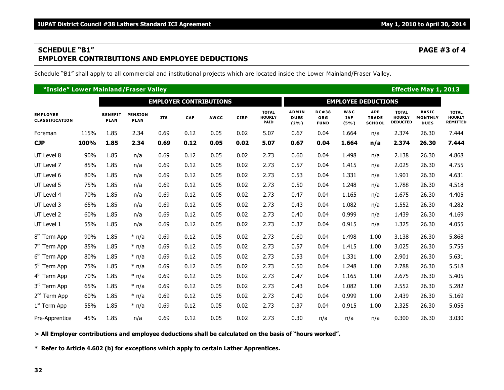### **SCHEDULE "B1" PAGE #3 of 4 EMPLOYER CONTRIBUTIONS AND EMPLOYEE DEDUCTIONS**

Schedule "B1" shall apply to all commercial and institutional projects which are located inside the Lower Mainland/Fraser Valley.

| "Inside" Lower Mainland/Fraser Valley    |      |                               |                               |            |                               |             |             |                                              |                                     |                                    |                           |                                             | <b>Effective May 1, 2013</b>                     |                                               |                                                  |  |
|------------------------------------------|------|-------------------------------|-------------------------------|------------|-------------------------------|-------------|-------------|----------------------------------------------|-------------------------------------|------------------------------------|---------------------------|---------------------------------------------|--------------------------------------------------|-----------------------------------------------|--------------------------------------------------|--|
|                                          |      |                               |                               |            | <b>EMPLOYER CONTRIBUTIONS</b> |             |             |                                              |                                     | <b>EMPLOYEE DEDUCTIONS</b>         |                           |                                             |                                                  |                                               |                                                  |  |
| <b>EMPLOYEE</b><br><b>CLASSIFICATION</b> |      | <b>BENEFIT</b><br><b>PLAN</b> | <b>PENSION</b><br><b>PLAN</b> | <b>JTS</b> | CAF                           | <b>AWCC</b> | <b>CIRP</b> | <b>TOTAL</b><br><b>HOURLY</b><br><b>PAID</b> | <b>ADMIN</b><br><b>DUES</b><br>(2%) | <b>DC#38</b><br>ORG<br><b>FUND</b> | W&C<br><b>IAF</b><br>(5%) | <b>APP</b><br><b>TRADE</b><br><b>SCHOOL</b> | <b>TOTAL</b><br><b>HOURLY</b><br><b>DEDUCTED</b> | <b>BASIC</b><br><b>MONTHLY</b><br><b>DUES</b> | <b>TOTAL</b><br><b>HOURLY</b><br><b>REMITTED</b> |  |
| Foreman                                  | 115% | 1.85                          | 2.34                          | 0.69       | 0.12                          | 0.05        | 0.02        | 5.07                                         | 0.67                                | 0.04                               | 1.664                     | n/a                                         | 2.374                                            | 26.30                                         | 7.444                                            |  |
| <b>CJP</b>                               | 100% | 1.85                          | 2.34                          | 0.69       | 0.12                          | 0.05        | 0.02        | 5.07                                         | 0.67                                | 0.04                               | 1.664                     | n/a                                         | 2.374                                            | 26.30                                         | 7.444                                            |  |
| UT Level 8                               | 90%  | 1.85                          | n/a                           | 0.69       | 0.12                          | 0.05        | 0.02        | 2.73                                         | 0.60                                | 0.04                               | 1.498                     | n/a                                         | 2.138                                            | 26.30                                         | 4.868                                            |  |
| UT Level 7                               | 85%  | 1.85                          | n/a                           | 0.69       | 0.12                          | 0.05        | 0.02        | 2.73                                         | 0.57                                | 0.04                               | 1.415                     | n/a                                         | 2.025                                            | 26.30                                         | 4.755                                            |  |
| UT Level 6                               | 80%  | 1.85                          | n/a                           | 0.69       | 0.12                          | 0.05        | 0.02        | 2.73                                         | 0.53                                | 0.04                               | 1.331                     | n/a                                         | 1.901                                            | 26.30                                         | 4.631                                            |  |
| UT Level 5                               | 75%  | 1.85                          | n/a                           | 0.69       | 0.12                          | 0.05        | 0.02        | 2.73                                         | 0.50                                | 0.04                               | 1.248                     | n/a                                         | 1.788                                            | 26.30                                         | 4.518                                            |  |
| UT Level 4                               | 70%  | 1.85                          | n/a                           | 0.69       | 0.12                          | 0.05        | 0.02        | 2.73                                         | 0.47                                | 0.04                               | 1.165                     | n/a                                         | 1.675                                            | 26.30                                         | 4.405                                            |  |
| UT Level 3                               | 65%  | 1.85                          | n/a                           | 0.69       | 0.12                          | 0.05        | 0.02        | 2.73                                         | 0.43                                | 0.04                               | 1.082                     | n/a                                         | 1.552                                            | 26.30                                         | 4.282                                            |  |
| UT Level 2                               | 60%  | 1.85                          | n/a                           | 0.69       | 0.12                          | 0.05        | 0.02        | 2.73                                         | 0.40                                | 0.04                               | 0.999                     | n/a                                         | 1.439                                            | 26.30                                         | 4.169                                            |  |
| UT Level 1                               | 55%  | 1.85                          | n/a                           | 0.69       | 0.12                          | 0.05        | 0.02        | 2.73                                         | 0.37                                | 0.04                               | 0.915                     | n/a                                         | 1.325                                            | 26.30                                         | 4.055                                            |  |
| 8 <sup>th</sup> Term App                 | 90%  | 1.85                          | $*$ n/a                       | 0.69       | 0.12                          | 0.05        | 0.02        | 2.73                                         | 0.60                                | 0.04                               | 1.498                     | 1.00                                        | 3.138                                            | 26.30                                         | 5.868                                            |  |
| 7 <sup>th</sup> Term App                 | 85%  | 1.85                          | $*$ n/a                       | 0.69       | 0.12                          | 0.05        | 0.02        | 2.73                                         | 0.57                                | 0.04                               | 1.415                     | 1.00                                        | 3.025                                            | 26.30                                         | 5.755                                            |  |
| 6 <sup>th</sup> Term App                 | 80%  | 1.85                          | $*$ n/a                       | 0.69       | 0.12                          | 0.05        | 0.02        | 2.73                                         | 0.53                                | 0.04                               | 1.331                     | 1.00                                        | 2.901                                            | 26.30                                         | 5.631                                            |  |
| 5 <sup>th</sup> Term App                 | 75%  | 1.85                          | $*$ n/a                       | 0.69       | 0.12                          | 0.05        | 0.02        | 2.73                                         | 0.50                                | 0.04                               | 1.248                     | 1.00                                        | 2.788                                            | 26.30                                         | 5.518                                            |  |
| 4 <sup>th</sup> Term App                 | 70%  | 1.85                          | $*$ n/a                       | 0.69       | 0.12                          | 0.05        | 0.02        | 2.73                                         | 0.47                                | 0.04                               | 1.165                     | 1.00                                        | 2.675                                            | 26.30                                         | 5.405                                            |  |
| 3rd Term App                             | 65%  | 1.85                          | $*$ n/a                       | 0.69       | 0.12                          | 0.05        | 0.02        | 2.73                                         | 0.43                                | 0.04                               | 1.082                     | 1.00                                        | 2.552                                            | 26.30                                         | 5.282                                            |  |
| 2 <sup>nd</sup> Term App                 | 60%  | 1.85                          | $*$ n/a                       | 0.69       | 0.12                          | 0.05        | 0.02        | 2.73                                         | 0.40                                | 0.04                               | 0.999                     | 1.00                                        | 2.439                                            | 26.30                                         | 5.169                                            |  |
| $1st$ Term App                           | 55%  | 1.85                          | $*$ n/a                       | 0.69       | 0.12                          | 0.05        | 0.02        | 2.73                                         | 0.37                                | 0.04                               | 0.915                     | 1.00                                        | 2.325                                            | 26.30                                         | 5.055                                            |  |
| Pre-Apprentice                           | 45%  | 1.85                          | n/a                           | 0.69       | 0.12                          | 0.05        | 0.02        | 2.73                                         | 0.30                                | n/a                                | n/a                       | n/a                                         | 0.300                                            | 26.30                                         | 3.030                                            |  |

**> All Employer contributions and employee deductions shall be calculated on the basis of "hours worked".**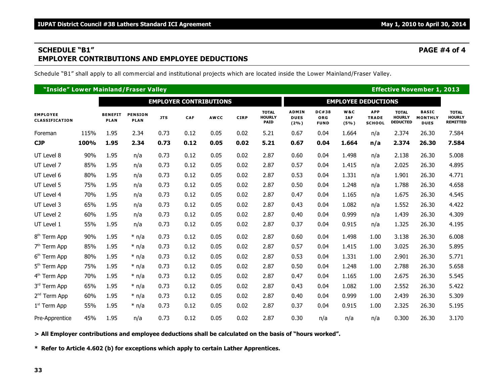### **SCHEDULE "B1" PAGE #4 of 4 EMPLOYER CONTRIBUTIONS AND EMPLOYEE DEDUCTIONS**

Schedule "B1" shall apply to all commercial and institutional projects which are located inside the Lower Mainland/Fraser Valley.

| "Inside" Lower Mainland/Fraser Valley |      |                               |                               |            |                               |             |             |                                              |                                        |                                    |                           | <b>Effective November 1, 2013</b>           |                                                  |                                               |                                                  |
|---------------------------------------|------|-------------------------------|-------------------------------|------------|-------------------------------|-------------|-------------|----------------------------------------------|----------------------------------------|------------------------------------|---------------------------|---------------------------------------------|--------------------------------------------------|-----------------------------------------------|--------------------------------------------------|
|                                       |      |                               |                               |            | <b>EMPLOYER CONTRIBUTIONS</b> |             |             |                                              | <b>EMPLOYEE DEDUCTIONS</b>             |                                    |                           |                                             |                                                  |                                               |                                                  |
| <b>EMPLOYEE</b><br>CLASSIFICATION     |      | <b>BENEFIT</b><br><b>PLAN</b> | <b>PENSION</b><br><b>PLAN</b> | <b>JTS</b> | CAF                           | <b>AWCC</b> | <b>CIRP</b> | <b>TOTAL</b><br><b>HOURLY</b><br><b>PAID</b> | <b>ADMIN</b><br><b>DUES</b><br>$(2\%)$ | DC#38<br><b>ORG</b><br><b>FUND</b> | W&C<br><b>IAF</b><br>(5%) | <b>APP</b><br><b>TRADE</b><br><b>SCHOOL</b> | <b>TOTAL</b><br><b>HOURLY</b><br><b>DEDUCTED</b> | <b>BASIC</b><br><b>MONTHLY</b><br><b>DUES</b> | <b>TOTAL</b><br><b>HOURLY</b><br><b>REMITTED</b> |
| Foreman                               | 115% | 1.95                          | 2.34                          | 0.73       | 0.12                          | 0.05        | 0.02        | 5.21                                         | 0.67                                   | 0.04                               | 1.664                     | n/a                                         | 2.374                                            | 26.30                                         | 7.584                                            |
| <b>CJP</b>                            | 100% | 1.95                          | 2.34                          | 0.73       | 0.12                          | 0.05        | 0.02        | 5.21                                         | 0.67                                   | 0.04                               | 1.664                     | n/a                                         | 2.374                                            | 26.30                                         | 7.584                                            |
| UT Level 8                            | 90%  | 1.95                          | n/a                           | 0.73       | 0.12                          | 0.05        | 0.02        | 2.87                                         | 0.60                                   | 0.04                               | 1.498                     | n/a                                         | 2.138                                            | 26.30                                         | 5.008                                            |
| UT Level 7                            | 85%  | 1.95                          | n/a                           | 0.73       | 0.12                          | 0.05        | 0.02        | 2.87                                         | 0.57                                   | 0.04                               | 1.415                     | n/a                                         | 2.025                                            | 26.30                                         | 4.895                                            |
| UT Level 6                            | 80%  | 1.95                          | n/a                           | 0.73       | 0.12                          | 0.05        | 0.02        | 2.87                                         | 0.53                                   | 0.04                               | 1.331                     | n/a                                         | 1.901                                            | 26.30                                         | 4.771                                            |
| UT Level 5                            | 75%  | 1.95                          | n/a                           | 0.73       | 0.12                          | 0.05        | 0.02        | 2.87                                         | 0.50                                   | 0.04                               | 1.248                     | n/a                                         | 1.788                                            | 26.30                                         | 4.658                                            |
| UT Level 4                            | 70%  | 1.95                          | n/a                           | 0.73       | 0.12                          | 0.05        | 0.02        | 2.87                                         | 0.47                                   | 0.04                               | 1.165                     | n/a                                         | 1.675                                            | 26.30                                         | 4.545                                            |
| UT Level 3                            | 65%  | 1.95                          | n/a                           | 0.73       | 0.12                          | 0.05        | 0.02        | 2.87                                         | 0.43                                   | 0.04                               | 1.082                     | n/a                                         | 1.552                                            | 26.30                                         | 4.422                                            |
| UT Level 2                            | 60%  | 1.95                          | n/a                           | 0.73       | 0.12                          | 0.05        | 0.02        | 2.87                                         | 0.40                                   | 0.04                               | 0.999                     | n/a                                         | 1.439                                            | 26.30                                         | 4.309                                            |
| UT Level 1                            | 55%  | 1.95                          | n/a                           | 0.73       | 0.12                          | 0.05        | 0.02        | 2.87                                         | 0.37                                   | 0.04                               | 0.915                     | n/a                                         | 1.325                                            | 26.30                                         | 4.195                                            |
| 8 <sup>th</sup> Term App              | 90%  | 1.95                          | $*$ n/a                       | 0.73       | 0.12                          | 0.05        | 0.02        | 2.87                                         | 0.60                                   | 0.04                               | 1.498                     | 1.00                                        | 3.138                                            | 26.30                                         | 6.008                                            |
| 7 <sup>th</sup> Term App              | 85%  | 1.95                          | $*$ n/a                       | 0.73       | 0.12                          | 0.05        | 0.02        | 2.87                                         | 0.57                                   | 0.04                               | 1.415                     | 1.00                                        | 3.025                                            | 26.30                                         | 5.895                                            |
| 6 <sup>th</sup> Term App              | 80%  | 1.95                          | $*$ n/a                       | 0.73       | 0.12                          | 0.05        | 0.02        | 2.87                                         | 0.53                                   | 0.04                               | 1.331                     | 1.00                                        | 2.901                                            | 26.30                                         | 5.771                                            |
| 5 <sup>th</sup> Term App              | 75%  | 1.95                          | $*$ n/a                       | 0.73       | 0.12                          | 0.05        | 0.02        | 2.87                                         | 0.50                                   | 0.04                               | 1.248                     | 1.00                                        | 2.788                                            | 26.30                                         | 5.658                                            |
| 4 <sup>th</sup> Term App              | 70%  | 1.95                          | $*$ n/a                       | 0.73       | 0.12                          | 0.05        | 0.02        | 2.87                                         | 0.47                                   | 0.04                               | 1.165                     | 1.00                                        | 2.675                                            | 26.30                                         | 5.545                                            |
| 3rd Term App                          | 65%  | 1.95                          | $*$ n/a                       | 0.73       | 0.12                          | 0.05        | 0.02        | 2.87                                         | 0.43                                   | 0.04                               | 1.082                     | 1.00                                        | 2.552                                            | 26.30                                         | 5.422                                            |
| 2 <sup>nd</sup> Term App              | 60%  | 1.95                          | $*$ n/a                       | 0.73       | 0.12                          | 0.05        | 0.02        | 2.87                                         | 0.40                                   | 0.04                               | 0.999                     | 1.00                                        | 2.439                                            | 26.30                                         | 5.309                                            |
| $1st$ Term App                        | 55%  | 1.95                          | $*$ n/a                       | 0.73       | 0.12                          | 0.05        | 0.02        | 2.87                                         | 0.37                                   | 0.04                               | 0.915                     | 1.00                                        | 2.325                                            | 26.30                                         | 5.195                                            |
| Pre-Apprentice                        | 45%  | 1.95                          | n/a                           | 0.73       | 0.12                          | 0.05        | 0.02        | 2.87                                         | 0.30                                   | n/a                                | n/a                       | n/a                                         | 0.300                                            | 26.30                                         | 3.170                                            |

**> All Employer contributions and employee deductions shall be calculated on the basis of "hours worked".**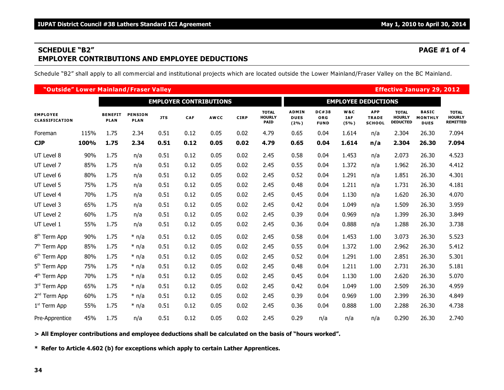### **SCHEDULE "B2" PAGE #1 of 4 EMPLOYER CONTRIBUTIONS AND EMPLOYEE DEDUCTIONS**

Schedule "B2" shall apply to all commercial and institutional projects which are located outside the Lower Mainland/Fraser Valley on the BC Mainland.

| "Outside" Lower Mainland/Fraser Valley |      |                               |                               |            |            |             |             |                                              |                                        |                                           |                           |                                             |                                                  | <b>Effective January 29, 2012</b>             |                                                  |
|----------------------------------------|------|-------------------------------|-------------------------------|------------|------------|-------------|-------------|----------------------------------------------|----------------------------------------|-------------------------------------------|---------------------------|---------------------------------------------|--------------------------------------------------|-----------------------------------------------|--------------------------------------------------|
| <b>EMPLOYER CONTRIBUTIONS</b>          |      |                               |                               |            |            |             |             | <b>EMPLOYEE DEDUCTIONS</b>                   |                                        |                                           |                           |                                             |                                                  |                                               |                                                  |
| <b>EMPLOYEE</b><br>CLASSIFICATION      |      | <b>BENEFIT</b><br><b>PLAN</b> | <b>PENSION</b><br><b>PLAN</b> | <b>JTS</b> | <b>CAF</b> | <b>AWCC</b> | <b>CIRP</b> | <b>TOTAL</b><br><b>HOURLY</b><br><b>PAID</b> | <b>ADMIN</b><br><b>DUES</b><br>$(2\%)$ | <b>DC#38</b><br><b>ORG</b><br><b>FUND</b> | W&C<br><b>IAF</b><br>(5%) | <b>APP</b><br><b>TRADE</b><br><b>SCHOOL</b> | <b>TOTAL</b><br><b>HOURLY</b><br><b>DEDUCTED</b> | <b>BASIC</b><br><b>MONTHLY</b><br><b>DUES</b> | <b>TOTAL</b><br><b>HOURLY</b><br><b>REMITTED</b> |
| Foreman                                | 115% | 1.75                          | 2.34                          | 0.51       | 0.12       | 0.05        | 0.02        | 4.79                                         | 0.65                                   | 0.04                                      | 1.614                     | n/a                                         | 2.304                                            | 26.30                                         | 7.094                                            |
| <b>CJP</b>                             | 100% | 1.75                          | 2.34                          | 0.51       | 0.12       | 0.05        | 0.02        | 4.79                                         | 0.65                                   | 0.04                                      | 1.614                     | n/a                                         | 2.304                                            | 26.30                                         | 7.094                                            |
| UT Level 8                             | 90%  | 1.75                          | n/a                           | 0.51       | 0.12       | 0.05        | 0.02        | 2.45                                         | 0.58                                   | 0.04                                      | 1.453                     | n/a                                         | 2.073                                            | 26.30                                         | 4.523                                            |
| UT Level 7                             | 85%  | 1.75                          | n/a                           | 0.51       | 0.12       | 0.05        | 0.02        | 2.45                                         | 0.55                                   | 0.04                                      | 1.372                     | n/a                                         | 1.962                                            | 26.30                                         | 4.412                                            |
| UT Level 6                             | 80%  | 1.75                          | n/a                           | 0.51       | 0.12       | 0.05        | 0.02        | 2.45                                         | 0.52                                   | 0.04                                      | 1.291                     | n/a                                         | 1.851                                            | 26.30                                         | 4.301                                            |
| UT Level 5                             | 75%  | 1.75                          | n/a                           | 0.51       | 0.12       | 0.05        | 0.02        | 2.45                                         | 0.48                                   | 0.04                                      | 1.211                     | n/a                                         | 1.731                                            | 26.30                                         | 4.181                                            |
| UT Level 4                             | 70%  | 1.75                          | n/a                           | 0.51       | 0.12       | 0.05        | 0.02        | 2.45                                         | 0.45                                   | 0.04                                      | 1.130                     | n/a                                         | 1.620                                            | 26.30                                         | 4.070                                            |
| UT Level 3                             | 65%  | 1.75                          | n/a                           | 0.51       | 0.12       | 0.05        | 0.02        | 2.45                                         | 0.42                                   | 0.04                                      | 1.049                     | n/a                                         | 1.509                                            | 26.30                                         | 3.959                                            |
| UT Level 2                             | 60%  | 1.75                          | n/a                           | 0.51       | 0.12       | 0.05        | 0.02        | 2.45                                         | 0.39                                   | 0.04                                      | 0.969                     | n/a                                         | 1.399                                            | 26.30                                         | 3.849                                            |
| UT Level 1                             | 55%  | 1.75                          | n/a                           | 0.51       | 0.12       | 0.05        | 0.02        | 2.45                                         | 0.36                                   | 0.04                                      | 0.888                     | n/a                                         | 1.288                                            | 26.30                                         | 3.738                                            |
| 8 <sup>th</sup> Term App               | 90%  | 1.75                          | $*$ n/a                       | 0.51       | 0.12       | 0.05        | 0.02        | 2.45                                         | 0.58                                   | 0.04                                      | 1.453                     | 1.00                                        | 3.073                                            | 26.30                                         | 5.523                                            |
| 7 <sup>th</sup> Term App               | 85%  | 1.75                          | $*$ n/a                       | 0.51       | 0.12       | 0.05        | 0.02        | 2.45                                         | 0.55                                   | 0.04                                      | 1.372                     | 1.00                                        | 2.962                                            | 26.30                                         | 5.412                                            |
| 6 <sup>th</sup> Term App               | 80%  | 1.75                          | $*$ n/a                       | 0.51       | 0.12       | 0.05        | 0.02        | 2.45                                         | 0.52                                   | 0.04                                      | 1.291                     | 1.00                                        | 2.851                                            | 26.30                                         | 5.301                                            |
| 5 <sup>th</sup> Term App               | 75%  | 1.75                          | $*$ n/a                       | 0.51       | 0.12       | 0.05        | 0.02        | 2.45                                         | 0.48                                   | 0.04                                      | 1.211                     | 1.00                                        | 2.731                                            | 26.30                                         | 5.181                                            |
| 4 <sup>th</sup> Term App               | 70%  | 1.75                          | $*$ n/a                       | 0.51       | 0.12       | 0.05        | 0.02        | 2.45                                         | 0.45                                   | 0.04                                      | 1.130                     | 1.00                                        | 2.620                                            | 26.30                                         | 5.070                                            |
| 3rd Term App                           | 65%  | 1.75                          | $*$ n/a                       | 0.51       | 0.12       | 0.05        | 0.02        | 2.45                                         | 0.42                                   | 0.04                                      | 1.049                     | 1.00                                        | 2.509                                            | 26.30                                         | 4.959                                            |
| 2 <sup>nd</sup> Term App               | 60%  | 1.75                          | $*$ n/a                       | 0.51       | 0.12       | 0.05        | 0.02        | 2.45                                         | 0.39                                   | 0.04                                      | 0.969                     | 1.00                                        | 2.399                                            | 26.30                                         | 4.849                                            |
| $1st$ Term App                         | 55%  | 1.75                          | $*$ n/a                       | 0.51       | 0.12       | 0.05        | 0.02        | 2.45                                         | 0.36                                   | 0.04                                      | 0.888                     | 1.00                                        | 2.288                                            | 26.30                                         | 4.738                                            |
| Pre-Apprentice                         | 45%  | 1.75                          | n/a                           | 0.51       | 0.12       | 0.05        | 0.02        | 2.45                                         | 0.29                                   | n/a                                       | n/a                       | n/a                                         | 0.290                                            | 26.30                                         | 2.740                                            |

**> All Employer contributions and employee deductions shall be calculated on the basis of "hours worked".**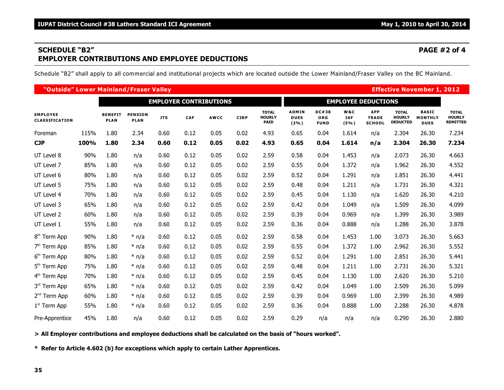### **SCHEDULE "B2" PAGE #2 of 4 EMPLOYER CONTRIBUTIONS AND EMPLOYEE DEDUCTIONS**

Schedule "B2" shall apply to all commercial and institutional projects which are located outside the Lower Mainland/Fraser Valley on the BC Mainland.

| "Outside" Lower Mainland/Fraser Valley |      |                               |                               |            |            |             |             |                                              |                                        |                                           |                           |                                             |                                                  | <b>Effective November 1, 2012</b>             |                                                  |
|----------------------------------------|------|-------------------------------|-------------------------------|------------|------------|-------------|-------------|----------------------------------------------|----------------------------------------|-------------------------------------------|---------------------------|---------------------------------------------|--------------------------------------------------|-----------------------------------------------|--------------------------------------------------|
| <b>EMPLOYER CONTRIBUTIONS</b>          |      |                               |                               |            |            |             |             | <b>EMPLOYEE DEDUCTIONS</b>                   |                                        |                                           |                           |                                             |                                                  |                                               |                                                  |
| <b>EMPLOYEE</b><br>CLASSIFICATION      |      | <b>BENEFIT</b><br><b>PLAN</b> | <b>PENSION</b><br><b>PLAN</b> | <b>JTS</b> | <b>CAF</b> | <b>AWCC</b> | <b>CIRP</b> | <b>TOTAL</b><br><b>HOURLY</b><br><b>PAID</b> | <b>ADMIN</b><br><b>DUES</b><br>$(2\%)$ | <b>DC#38</b><br><b>ORG</b><br><b>FUND</b> | W&C<br><b>IAF</b><br>(5%) | <b>APP</b><br><b>TRADE</b><br><b>SCHOOL</b> | <b>TOTAL</b><br><b>HOURLY</b><br><b>DEDUCTED</b> | <b>BASIC</b><br><b>MONTHLY</b><br><b>DUES</b> | <b>TOTAL</b><br><b>HOURLY</b><br><b>REMITTED</b> |
| Foreman                                | 115% | 1.80                          | 2.34                          | 0.60       | 0.12       | 0.05        | 0.02        | 4.93                                         | 0.65                                   | 0.04                                      | 1.614                     | n/a                                         | 2.304                                            | 26.30                                         | 7.234                                            |
| <b>CJP</b>                             | 100% | 1.80                          | 2.34                          | 0.60       | 0.12       | 0.05        | 0.02        | 4.93                                         | 0.65                                   | 0.04                                      | 1.614                     | n/a                                         | 2.304                                            | 26.30                                         | 7.234                                            |
| UT Level 8                             | 90%  | 1.80                          | n/a                           | 0.60       | 0.12       | 0.05        | 0.02        | 2.59                                         | 0.58                                   | 0.04                                      | 1.453                     | n/a                                         | 2.073                                            | 26.30                                         | 4.663                                            |
| UT Level 7                             | 85%  | 1.80                          | n/a                           | 0.60       | 0.12       | 0.05        | 0.02        | 2.59                                         | 0.55                                   | 0.04                                      | 1.372                     | n/a                                         | 1.962                                            | 26.30                                         | 4.552                                            |
| UT Level 6                             | 80%  | 1.80                          | n/a                           | 0.60       | 0.12       | 0.05        | 0.02        | 2.59                                         | 0.52                                   | 0.04                                      | 1.291                     | n/a                                         | 1.851                                            | 26.30                                         | 4.441                                            |
| UT Level 5                             | 75%  | 1.80                          | n/a                           | 0.60       | 0.12       | 0.05        | 0.02        | 2.59                                         | 0.48                                   | 0.04                                      | 1.211                     | n/a                                         | 1.731                                            | 26.30                                         | 4.321                                            |
| UT Level 4                             | 70%  | 1.80                          | n/a                           | 0.60       | 0.12       | 0.05        | 0.02        | 2.59                                         | 0.45                                   | 0.04                                      | 1.130                     | n/a                                         | 1.620                                            | 26.30                                         | 4.210                                            |
| UT Level 3                             | 65%  | 1.80                          | n/a                           | 0.60       | 0.12       | 0.05        | 0.02        | 2.59                                         | 0.42                                   | 0.04                                      | 1.049                     | n/a                                         | 1.509                                            | 26.30                                         | 4.099                                            |
| UT Level 2                             | 60%  | 1.80                          | n/a                           | 0.60       | 0.12       | 0.05        | 0.02        | 2.59                                         | 0.39                                   | 0.04                                      | 0.969                     | n/a                                         | 1.399                                            | 26.30                                         | 3.989                                            |
| UT Level 1                             | 55%  | 1.80                          | n/a                           | 0.60       | 0.12       | 0.05        | 0.02        | 2.59                                         | 0.36                                   | 0.04                                      | 0.888                     | n/a                                         | 1.288                                            | 26.30                                         | 3.878                                            |
| 8 <sup>th</sup> Term App               | 90%  | 1.80                          | $*$ n/a                       | 0.60       | 0.12       | 0.05        | 0.02        | 2.59                                         | 0.58                                   | 0.04                                      | 1.453                     | 1.00                                        | 3.073                                            | 26.30                                         | 5.663                                            |
| 7 <sup>th</sup> Term App               | 85%  | 1.80                          | $*$ n/a                       | 0.60       | 0.12       | 0.05        | 0.02        | 2.59                                         | 0.55                                   | 0.04                                      | 1.372                     | 1.00                                        | 2.962                                            | 26.30                                         | 5.552                                            |
| 6 <sup>th</sup> Term App               | 80%  | 1.80                          | $*$ n/a                       | 0.60       | 0.12       | 0.05        | 0.02        | 2.59                                         | 0.52                                   | 0.04                                      | 1.291                     | 1.00                                        | 2.851                                            | 26.30                                         | 5.441                                            |
| 5 <sup>th</sup> Term App               | 75%  | 1.80                          | $*$ n/a                       | 0.60       | 0.12       | 0.05        | 0.02        | 2.59                                         | 0.48                                   | 0.04                                      | 1.211                     | 1.00                                        | 2.731                                            | 26.30                                         | 5.321                                            |
| 4 <sup>th</sup> Term App               | 70%  | 1.80                          | $*$ n/a                       | 0.60       | 0.12       | 0.05        | 0.02        | 2.59                                         | 0.45                                   | 0.04                                      | 1.130                     | 1.00                                        | 2.620                                            | 26.30                                         | 5.210                                            |
| 3rd Term App                           | 65%  | 1.80                          | $*$ n/a                       | 0.60       | 0.12       | 0.05        | 0.02        | 2.59                                         | 0.42                                   | 0.04                                      | 1.049                     | 1.00                                        | 2.509                                            | 26.30                                         | 5.099                                            |
| 2 <sup>nd</sup> Term App               | 60%  | 1.80                          | $*$ n/a                       | 0.60       | 0.12       | 0.05        | 0.02        | 2.59                                         | 0.39                                   | 0.04                                      | 0.969                     | 1.00                                        | 2.399                                            | 26.30                                         | 4.989                                            |
| $1st$ Term App                         | 55%  | 1.80                          | $*$ n/a                       | 0.60       | 0.12       | 0.05        | 0.02        | 2.59                                         | 0.36                                   | 0.04                                      | 0.888                     | 1.00                                        | 2.288                                            | 26.30                                         | 4.878                                            |
| Pre-Apprentice                         | 45%  | 1.80                          | n/a                           | 0.60       | 0.12       | 0.05        | 0.02        | 2.59                                         | 0.29                                   | n/a                                       | n/a                       | n/a                                         | 0.290                                            | 26.30                                         | 2.880                                            |

**> All Employer contributions and employee deductions shall be calculated on the basis of "hours worked".**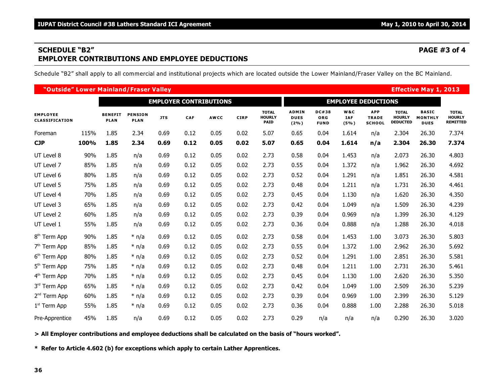### **SCHEDULE "B2" PAGE #3 of 4 EMPLOYER CONTRIBUTIONS AND EMPLOYEE DEDUCTIONS**

Schedule "B2" shall apply to all commercial and institutional projects which are located outside the Lower Mainland/Fraser Valley on the BC Mainland.

| "Outside" Lower Mainland/Fraser Valley |      |                               |                               |            |            |             |                            |                                              |                                        |                                           |                           |                                             |                                                  | <b>Effective May 1, 2013</b>                  |                                                  |
|----------------------------------------|------|-------------------------------|-------------------------------|------------|------------|-------------|----------------------------|----------------------------------------------|----------------------------------------|-------------------------------------------|---------------------------|---------------------------------------------|--------------------------------------------------|-----------------------------------------------|--------------------------------------------------|
| <b>EMPLOYER CONTRIBUTIONS</b>          |      |                               |                               |            |            |             | <b>EMPLOYEE DEDUCTIONS</b> |                                              |                                        |                                           |                           |                                             |                                                  |                                               |                                                  |
| <b>EMPLOYEE</b><br>CLASSIFICATION      |      | <b>BENEFIT</b><br><b>PLAN</b> | <b>PENSION</b><br><b>PLAN</b> | <b>JTS</b> | <b>CAF</b> | <b>AWCC</b> | <b>CIRP</b>                | <b>TOTAL</b><br><b>HOURLY</b><br><b>PAID</b> | <b>ADMIN</b><br><b>DUES</b><br>$(2\%)$ | <b>DC#38</b><br><b>ORG</b><br><b>FUND</b> | W&C<br><b>IAF</b><br>(5%) | <b>APP</b><br><b>TRADE</b><br><b>SCHOOL</b> | <b>TOTAL</b><br><b>HOURLY</b><br><b>DEDUCTED</b> | <b>BASIC</b><br><b>MONTHLY</b><br><b>DUES</b> | <b>TOTAL</b><br><b>HOURLY</b><br><b>REMITTED</b> |
| Foreman                                | 115% | 1.85                          | 2.34                          | 0.69       | 0.12       | 0.05        | 0.02                       | 5.07                                         | 0.65                                   | 0.04                                      | 1.614                     | n/a                                         | 2.304                                            | 26.30                                         | 7.374                                            |
| <b>CJP</b>                             | 100% | 1.85                          | 2.34                          | 0.69       | 0.12       | 0.05        | 0.02                       | 5.07                                         | 0.65                                   | 0.04                                      | 1.614                     | n/a                                         | 2.304                                            | 26.30                                         | 7.374                                            |
| UT Level 8                             | 90%  | 1.85                          | n/a                           | 0.69       | 0.12       | 0.05        | 0.02                       | 2.73                                         | 0.58                                   | 0.04                                      | 1.453                     | n/a                                         | 2.073                                            | 26.30                                         | 4.803                                            |
| UT Level 7                             | 85%  | 1.85                          | n/a                           | 0.69       | 0.12       | 0.05        | 0.02                       | 2.73                                         | 0.55                                   | 0.04                                      | 1.372                     | n/a                                         | 1.962                                            | 26.30                                         | 4.692                                            |
| UT Level 6                             | 80%  | 1.85                          | n/a                           | 0.69       | 0.12       | 0.05        | 0.02                       | 2.73                                         | 0.52                                   | 0.04                                      | 1.291                     | n/a                                         | 1.851                                            | 26.30                                         | 4.581                                            |
| UT Level 5                             | 75%  | 1.85                          | n/a                           | 0.69       | 0.12       | 0.05        | 0.02                       | 2.73                                         | 0.48                                   | 0.04                                      | 1.211                     | n/a                                         | 1.731                                            | 26.30                                         | 4.461                                            |
| UT Level 4                             | 70%  | 1.85                          | n/a                           | 0.69       | 0.12       | 0.05        | 0.02                       | 2.73                                         | 0.45                                   | 0.04                                      | 1.130                     | n/a                                         | 1.620                                            | 26.30                                         | 4.350                                            |
| UT Level 3                             | 65%  | 1.85                          | n/a                           | 0.69       | 0.12       | 0.05        | 0.02                       | 2.73                                         | 0.42                                   | 0.04                                      | 1.049                     | n/a                                         | 1.509                                            | 26.30                                         | 4.239                                            |
| UT Level 2                             | 60%  | 1.85                          | n/a                           | 0.69       | 0.12       | 0.05        | 0.02                       | 2.73                                         | 0.39                                   | 0.04                                      | 0.969                     | n/a                                         | 1.399                                            | 26.30                                         | 4.129                                            |
| UT Level 1                             | 55%  | 1.85                          | n/a                           | 0.69       | 0.12       | 0.05        | 0.02                       | 2.73                                         | 0.36                                   | 0.04                                      | 0.888                     | n/a                                         | 1.288                                            | 26.30                                         | 4.018                                            |
| 8 <sup>th</sup> Term App               | 90%  | 1.85                          | $*$ n/a                       | 0.69       | 0.12       | 0.05        | 0.02                       | 2.73                                         | 0.58                                   | 0.04                                      | 1.453                     | 1.00                                        | 3.073                                            | 26.30                                         | 5.803                                            |
| $7th$ Term App                         | 85%  | 1.85                          | $*$ n/a                       | 0.69       | 0.12       | 0.05        | 0.02                       | 2.73                                         | 0.55                                   | 0.04                                      | 1.372                     | 1.00                                        | 2.962                                            | 26.30                                         | 5.692                                            |
| 6 <sup>th</sup> Term App               | 80%  | 1.85                          | $*$ n/a                       | 0.69       | 0.12       | 0.05        | 0.02                       | 2.73                                         | 0.52                                   | 0.04                                      | 1.291                     | 1.00                                        | 2.851                                            | 26.30                                         | 5.581                                            |
| 5 <sup>th</sup> Term App               | 75%  | 1.85                          | $*$ n/a                       | 0.69       | 0.12       | 0.05        | 0.02                       | 2.73                                         | 0.48                                   | 0.04                                      | 1.211                     | 1.00                                        | 2.731                                            | 26.30                                         | 5.461                                            |
| 4 <sup>th</sup> Term App               | 70%  | 1.85                          | $*$ n/a                       | 0.69       | 0.12       | 0.05        | 0.02                       | 2.73                                         | 0.45                                   | 0.04                                      | 1.130                     | 1.00                                        | 2.620                                            | 26.30                                         | 5.350                                            |
| 3rd Term App                           | 65%  | 1.85                          | $*$ n/a                       | 0.69       | 0.12       | 0.05        | 0.02                       | 2.73                                         | 0.42                                   | 0.04                                      | 1.049                     | 1.00                                        | 2.509                                            | 26.30                                         | 5.239                                            |
| 2 <sup>nd</sup> Term App               | 60%  | 1.85                          | $*$ n/a                       | 0.69       | 0.12       | 0.05        | 0.02                       | 2.73                                         | 0.39                                   | 0.04                                      | 0.969                     | 1.00                                        | 2.399                                            | 26.30                                         | 5.129                                            |
| $1st$ Term App                         | 55%  | 1.85                          | $*$ n/a                       | 0.69       | 0.12       | 0.05        | 0.02                       | 2.73                                         | 0.36                                   | 0.04                                      | 0.888                     | 1.00                                        | 2.288                                            | 26.30                                         | 5.018                                            |
| Pre-Apprentice                         | 45%  | 1.85                          | n/a                           | 0.69       | 0.12       | 0.05        | 0.02                       | 2.73                                         | 0.29                                   | n/a                                       | n/a                       | n/a                                         | 0.290                                            | 26.30                                         | 3.020                                            |

**> All Employer contributions and employee deductions shall be calculated on the basis of "hours worked".**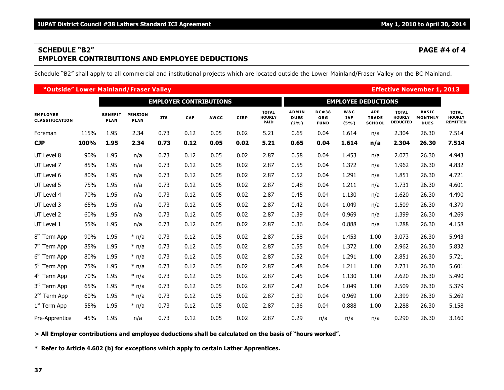### **SCHEDULE "B2" PAGE #4 of 4 EMPLOYER CONTRIBUTIONS AND EMPLOYEE DEDUCTIONS**

Schedule "B2" shall apply to all commercial and institutional projects which are located outside the Lower Mainland/Fraser Valley on the BC Mainland.

| "Outside" Lower Mainland/Fraser Valley   |      |                               |                               |            |      |             |             |                                              |                                        |                                           |                           |                                             |                                                  | <b>Effective November 1, 2013</b>             |                                                  |
|------------------------------------------|------|-------------------------------|-------------------------------|------------|------|-------------|-------------|----------------------------------------------|----------------------------------------|-------------------------------------------|---------------------------|---------------------------------------------|--------------------------------------------------|-----------------------------------------------|--------------------------------------------------|
| <b>EMPLOYER CONTRIBUTIONS</b>            |      |                               |                               |            |      |             |             |                                              | <b>EMPLOYEE DEDUCTIONS</b>             |                                           |                           |                                             |                                                  |                                               |                                                  |
| <b>EMPLOYEE</b><br><b>CLASSIFICATION</b> |      | <b>BENEFIT</b><br><b>PLAN</b> | <b>PENSION</b><br><b>PLAN</b> | <b>JTS</b> | CAF  | <b>AWCC</b> | <b>CIRP</b> | <b>TOTAL</b><br><b>HOURLY</b><br><b>PAID</b> | <b>ADMIN</b><br><b>DUES</b><br>$(2\%)$ | <b>DC#38</b><br><b>ORG</b><br><b>FUND</b> | W&C<br><b>IAF</b><br>(5%) | <b>APP</b><br><b>TRADE</b><br><b>SCHOOL</b> | <b>TOTAL</b><br><b>HOURLY</b><br><b>DEDUCTED</b> | <b>BASIC</b><br><b>MONTHLY</b><br><b>DUES</b> | <b>TOTAL</b><br><b>HOURLY</b><br><b>REMITTED</b> |
| Foreman                                  | 115% | 1.95                          | 2.34                          | 0.73       | 0.12 | 0.05        | 0.02        | 5.21                                         | 0.65                                   | 0.04                                      | 1.614                     | n/a                                         | 2.304                                            | 26.30                                         | 7.514                                            |
| <b>CJP</b>                               | 100% | 1.95                          | 2.34                          | 0.73       | 0.12 | 0.05        | 0.02        | 5.21                                         | 0.65                                   | 0.04                                      | 1.614                     | n/a                                         | 2.304                                            | 26.30                                         | 7.514                                            |
| UT Level 8                               | 90%  | 1.95                          | n/a                           | 0.73       | 0.12 | 0.05        | 0.02        | 2.87                                         | 0.58                                   | 0.04                                      | 1.453                     | n/a                                         | 2.073                                            | 26.30                                         | 4.943                                            |
| UT Level 7                               | 85%  | 1.95                          | n/a                           | 0.73       | 0.12 | 0.05        | 0.02        | 2.87                                         | 0.55                                   | 0.04                                      | 1.372                     | n/a                                         | 1.962                                            | 26.30                                         | 4.832                                            |
| UT Level 6                               | 80%  | 1.95                          | n/a                           | 0.73       | 0.12 | 0.05        | 0.02        | 2.87                                         | 0.52                                   | 0.04                                      | 1.291                     | n/a                                         | 1.851                                            | 26.30                                         | 4.721                                            |
| UT Level 5                               | 75%  | 1.95                          | n/a                           | 0.73       | 0.12 | 0.05        | 0.02        | 2.87                                         | 0.48                                   | 0.04                                      | 1.211                     | n/a                                         | 1.731                                            | 26.30                                         | 4.601                                            |
| UT Level 4                               | 70%  | 1.95                          | n/a                           | 0.73       | 0.12 | 0.05        | 0.02        | 2.87                                         | 0.45                                   | 0.04                                      | 1.130                     | n/a                                         | 1.620                                            | 26.30                                         | 4.490                                            |
| UT Level 3                               | 65%  | 1.95                          | n/a                           | 0.73       | 0.12 | 0.05        | 0.02        | 2.87                                         | 0.42                                   | 0.04                                      | 1.049                     | n/a                                         | 1.509                                            | 26.30                                         | 4.379                                            |
| UT Level 2                               | 60%  | 1.95                          | n/a                           | 0.73       | 0.12 | 0.05        | 0.02        | 2.87                                         | 0.39                                   | 0.04                                      | 0.969                     | n/a                                         | 1.399                                            | 26.30                                         | 4.269                                            |
| UT Level 1                               | 55%  | 1.95                          | n/a                           | 0.73       | 0.12 | 0.05        | 0.02        | 2.87                                         | 0.36                                   | 0.04                                      | 0.888                     | n/a                                         | 1.288                                            | 26.30                                         | 4.158                                            |
| 8 <sup>th</sup> Term App                 | 90%  | 1.95                          | $*$ n/a                       | 0.73       | 0.12 | 0.05        | 0.02        | 2.87                                         | 0.58                                   | 0.04                                      | 1.453                     | 1.00                                        | 3.073                                            | 26.30                                         | 5.943                                            |
| 7 <sup>th</sup> Term App                 | 85%  | 1.95                          | $*$ n/a                       | 0.73       | 0.12 | 0.05        | 0.02        | 2.87                                         | 0.55                                   | 0.04                                      | 1.372                     | 1.00                                        | 2.962                                            | 26.30                                         | 5.832                                            |
| 6 <sup>th</sup> Term App                 | 80%  | 1.95                          | $*$ n/a                       | 0.73       | 0.12 | 0.05        | 0.02        | 2.87                                         | 0.52                                   | 0.04                                      | 1.291                     | 1.00                                        | 2.851                                            | 26.30                                         | 5.721                                            |
| 5 <sup>th</sup> Term App                 | 75%  | 1.95                          | $*$ n/a                       | 0.73       | 0.12 | 0.05        | 0.02        | 2.87                                         | 0.48                                   | 0.04                                      | 1.211                     | 1.00                                        | 2.731                                            | 26.30                                         | 5.601                                            |
| 4 <sup>th</sup> Term App                 | 70%  | 1.95                          | $*$ n/a                       | 0.73       | 0.12 | 0.05        | 0.02        | 2.87                                         | 0.45                                   | 0.04                                      | 1.130                     | 1.00                                        | 2.620                                            | 26.30                                         | 5.490                                            |
| 3rd Term App                             | 65%  | 1.95                          | $*$ n/a                       | 0.73       | 0.12 | 0.05        | 0.02        | 2.87                                         | 0.42                                   | 0.04                                      | 1.049                     | 1.00                                        | 2.509                                            | 26.30                                         | 5.379                                            |
| 2 <sup>nd</sup> Term App                 | 60%  | 1.95                          | $*$ n/a                       | 0.73       | 0.12 | 0.05        | 0.02        | 2.87                                         | 0.39                                   | 0.04                                      | 0.969                     | 1.00                                        | 2.399                                            | 26.30                                         | 5.269                                            |
| $1st$ Term App                           | 55%  | 1.95                          | $*$ n/a                       | 0.73       | 0.12 | 0.05        | 0.02        | 2.87                                         | 0.36                                   | 0.04                                      | 0.888                     | 1.00                                        | 2.288                                            | 26.30                                         | 5.158                                            |
| Pre-Apprentice                           | 45%  | 1.95                          | n/a                           | 0.73       | 0.12 | 0.05        | 0.02        | 2.87                                         | 0.29                                   | n/a                                       | n/a                       | n/a                                         | 0.290                                            | 26.30                                         | 3.160                                            |

**> All Employer contributions and employee deductions shall be calculated on the basis of "hours worked".**

**\* Refer to Article 4.602 (b) for exceptions which apply to certain Lather Apprentices.**

**37**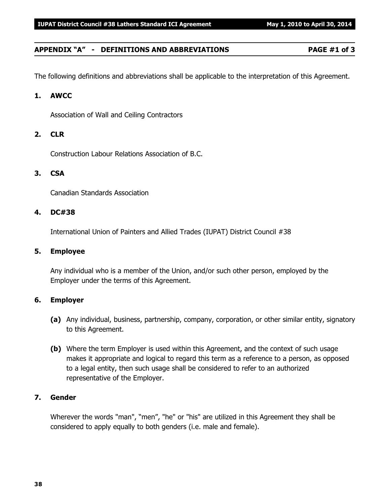### **APPENDIX "A" - DEFINITIONS AND ABBREVIATIONS PAGE #1 of 3**

The following definitions and abbreviations shall be applicable to the interpretation of this Agreement.

#### **1. AWCC**

Association of Wall and Ceiling Contractors

#### **2. CLR**

Construction Labour Relations Association of B.C.

#### **3. CSA**

Canadian Standards Association

#### **4. DC#38**

International Union of Painters and Allied Trades (IUPAT) District Council #38

#### **5. Employee**

Any individual who is a member of the Union, and/or such other person, employed by the Employer under the terms of this Agreement.

#### **6. Employer**

- **(a)** Any individual, business, partnership, company, corporation, or other similar entity, signatory to this Agreement.
- **(b)** Where the term Employer is used within this Agreement, and the context of such usage makes it appropriate and logical to regard this term as a reference to a person, as opposed to a legal entity, then such usage shall be considered to refer to an authorized representative of the Employer.

#### **7. Gender**

Wherever the words "man", "men", "he" or "his" are utilized in this Agreement they shall be considered to apply equally to both genders (i.e. male and female).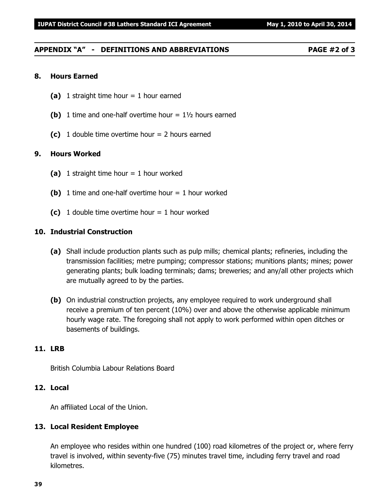### **APPENDIX "A" - DEFINITIONS AND ABBREVIATIONS PAGE #2 of 3**

#### **8. Hours Earned**

- **(a)** 1 straight time hour = 1 hour earned
- **(b)** 1 time and one-half overtime hour = 1½ hours earned
- **(c)** 1 double time overtime hour = 2 hours earned

#### **9. Hours Worked**

- **(a)** 1 straight time hour = 1 hour worked
- **(b)** 1 time and one-half overtime hour  $= 1$  hour worked
- **(c)** 1 double time overtime hour  $= 1$  hour worked

#### **10. Industrial Construction**

- **(a)** Shall include production plants such as pulp mills; chemical plants; refineries, including the transmission facilities; metre pumping; compressor stations; munitions plants; mines; power generating plants; bulk loading terminals; dams; breweries; and any/all other projects which are mutually agreed to by the parties.
- **(b)** On industrial construction projects, any employee required to work underground shall receive a premium of ten percent (10%) over and above the otherwise applicable minimum hourly wage rate. The foregoing shall not apply to work performed within open ditches or basements of buildings.

#### **11. LRB**

British Columbia Labour Relations Board

#### **12. Local**

An affiliated Local of the Union.

#### **13. Local Resident Employee**

An employee who resides within one hundred (100) road kilometres of the project or, where ferry travel is involved, within seventy-five (75) minutes travel time, including ferry travel and road kilometres.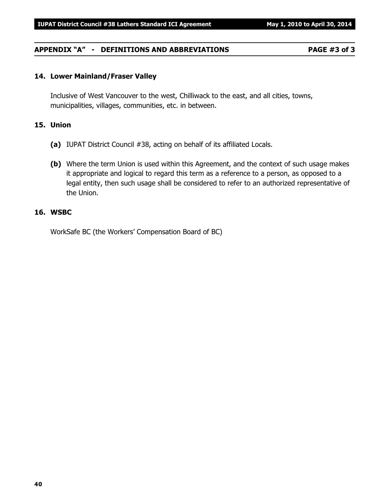#### **APPENDIX "A" - DEFINITIONS AND ABBREVIATIONS PAGE #3 of 3**

#### **14. Lower Mainland/Fraser Valley**

Inclusive of West Vancouver to the west, Chilliwack to the east, and all cities, towns, municipalities, villages, communities, etc. in between.

#### **15. Union**

- **(a)** IUPAT District Council #38, acting on behalf of its affiliated Locals.
- **(b)** Where the term Union is used within this Agreement, and the context of such usage makes it appropriate and logical to regard this term as a reference to a person, as opposed to a legal entity, then such usage shall be considered to refer to an authorized representative of the Union.

#### **16. WSBC**

WorkSafe BC (the Workers' Compensation Board of BC)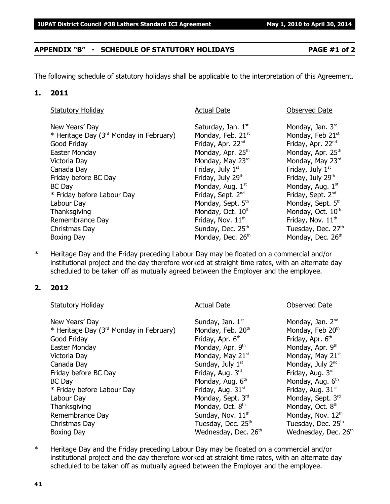#### **APPENDIX "B" - SCHEDULE OF STATUTORY HOLIDAYS PAGE #1 of 2**

The following schedule of statutory holidays shall be applicable to the interpretation of this Agreement.

#### **1. 2011**

| <b>Statutory Holiday</b>                            | <b>Actual Date</b>            | <b>Observed Date</b>          |
|-----------------------------------------------------|-------------------------------|-------------------------------|
| New Years' Day                                      | Saturday, Jan. $1st$          | Monday, Jan. 3rd              |
| * Heritage Day (3 <sup>rd</sup> Monday in February) | Monday, Feb. 21st             | Monday, Feb 21st              |
| Good Friday                                         | Friday, Apr. 22 <sup>nd</sup> | Friday, Apr. 22nd             |
| Easter Monday                                       | Monday, Apr. 25 <sup>th</sup> | Monday, Apr. 25 <sup>th</sup> |
| Victoria Day                                        | Monday, May 23rd              | Monday, May 23rd              |
| Canada Day                                          | Friday, July 1 <sup>st</sup>  | Friday, July 1 <sup>st</sup>  |
| Friday before BC Day                                | Friday, July 29th             | Friday, July 29th             |
| <b>BC</b> Day                                       | Monday, Aug. 1st              | Monday, Aug. 1st              |
| * Friday before Labour Day                          | Friday, Sept. 2 <sup>nd</sup> | Friday, Sept. 2 <sup>nd</sup> |
| Labour Day                                          | Monday, Sept. 5th             | Monday, Sept. 5th             |
| Thanksgiving                                        | Monday, Oct. 10th             | Monday, Oct. 10 <sup>th</sup> |
| Remembrance Day                                     | Friday, Nov. 11 <sup>th</sup> | Friday, Nov. 11 <sup>th</sup> |
| Christmas Day                                       | Sunday, Dec. 25th             | Tuesday, Dec. 27th            |
| Boxing Day                                          | Monday, Dec. 26th             | Monday, Dec. 26th             |

\* Heritage Day and the Friday preceding Labour Day may be floated on a commercial and/or institutional project and the day therefore worked at straight time rates, with an alternate day scheduled to be taken off as mutually agreed between the Employer and the employee.

#### **2. 2012**

| <b>Statutory Holiday</b>                            | <b>Actual Date</b>             | <b>Observed Date</b>          |
|-----------------------------------------------------|--------------------------------|-------------------------------|
| New Years' Day                                      | Sunday, Jan. 1st               | Monday, Jan. 2 <sup>nd</sup>  |
| * Heritage Day (3 <sup>rd</sup> Monday in February) | Monday, Feb. 20th              | Monday, Feb 20th              |
| Good Friday                                         | Friday, Apr. 6 <sup>th</sup>   | Friday, Apr. 6th              |
| Easter Monday                                       | Monday, Apr. 9th               | Monday, Apr. 9th              |
| Victoria Day                                        | Monday, May 21 <sup>st</sup>   | Monday, May 21st              |
| Canada Day                                          | Sunday, July 1st               | Monday, July 2nd              |
| Friday before BC Day                                | Friday, Aug. 3rd               | Friday, Aug. 3rd              |
| <b>BC</b> Day                                       | Monday, Aug. 6th               | Monday, Aug. 6th              |
| * Friday before Labour Day                          | Friday, Aug. 31 <sup>st</sup>  | Friday, Aug. 31 <sup>st</sup> |
| Labour Day                                          | Monday, Sept. 3rd              | Monday, Sept. 3rd             |
| Thanksgiving                                        | Monday, Oct. 8 <sup>th</sup>   | Monday, Oct. 8 <sup>th</sup>  |
| Remembrance Day                                     | Sunday, Nov. 11 <sup>th</sup>  | Monday, Nov. 12th             |
| Christmas Day                                       | Tuesday, Dec. 25 <sup>th</sup> | Tuesday, Dec. 25th            |
| <b>Boxing Day</b>                                   | Wednesday, Dec. 26th           | Wednesday, Dec. 26th          |

\* Heritage Day and the Friday preceding Labour Day may be floated on a commercial and/or institutional project and the day therefore worked at straight time rates, with an alternate day scheduled to be taken off as mutually agreed between the Employer and the employee.